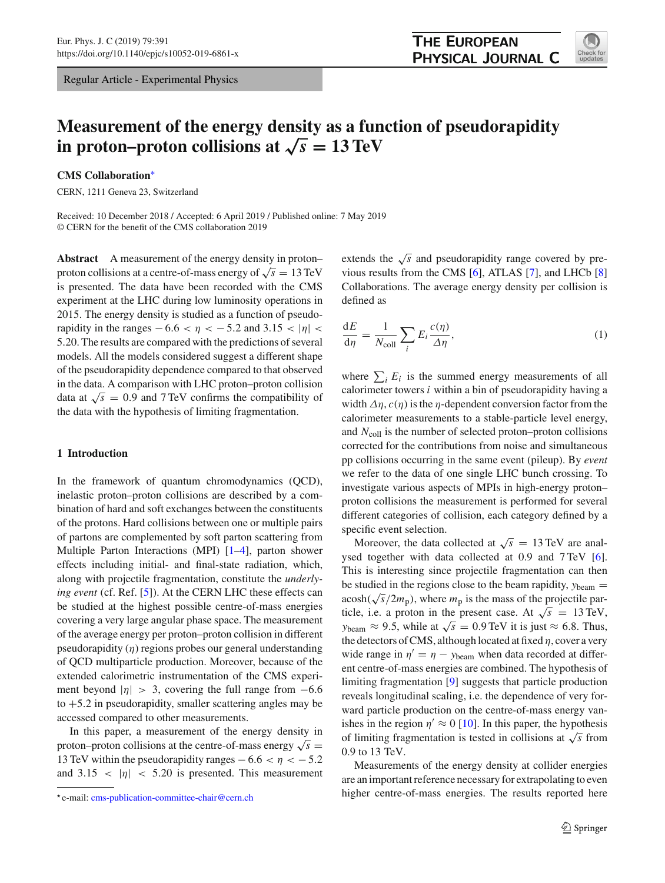Regular Article - Experimental Physics



# **Measurement of the energy density as a function of pseudorapidity in proton–proton collisions at**  $\sqrt{s} = 13 \text{ TeV}$

#### **CMS Collaboration**[∗](#page-0-0)

CERN, 1211 Geneva 23, Switzerland

Received: 10 December 2018 / Accepted: 6 April 2019 / Published online: 7 May 2019 © CERN for the benefit of the CMS collaboration 2019

**Abstract** A measurement of the energy density in proton– proton collisions at a centre-of-mass energy of  $\sqrt{s} = 13$  TeV is presented. The data have been recorded with the CMS experiment at the LHC during low luminosity operations in 2015. The energy density is studied as a function of pseudorapidity in the ranges  $-6.6 < \eta < -5.2$  and  $3.15 < |\eta| <$ 5.20. The results are compared with the predictions of several models. All the models considered suggest a different shape of the pseudorapidity dependence compared to that observed in the data. A comparison with LHC proton–proton collision data at  $\sqrt{s}$  = 0.9 and 7 TeV confirms the compatibility of the data with the hypothesis of limiting fragmentation.

#### **1 Introduction**

In the framework of quantum chromodynamics (QCD), inelastic proton–proton collisions are described by a combination of hard and soft exchanges between the constituents of the protons. Hard collisions between one or multiple pairs of partons are complemented by soft parton scattering from Multiple Parton Interactions (MPI) [\[1](#page-9-0)[–4\]](#page-9-1), parton shower effects including initial- and final-state radiation, which, along with projectile fragmentation, constitute the *underlying event* (cf. Ref. [\[5\]](#page-9-2)). At the CERN LHC these effects can be studied at the highest possible centre-of-mass energies covering a very large angular phase space. The measurement of the average energy per proton–proton collision in different pseudorapidity  $(\eta)$  regions probes our general understanding of QCD multiparticle production. Moreover, because of the extended calorimetric instrumentation of the CMS experiment beyond  $|\eta| > 3$ , covering the full range from  $-6.6$ to  $+5.2$  in pseudorapidity, smaller scattering angles may be accessed compared to other measurements.

In this paper, a measurement of the energy density in proton–proton collisions at the centre-of-mass energy  $\sqrt{s}$  = 13 TeV within the pseudorapidity ranges  $-6.6 < \eta < -5.2$ and  $3.15 < |\eta| < 5.20$  is presented. This measurement <span id="page-0-1"></span>extends the  $\sqrt{s}$  and pseudorapidity range covered by previous results from the CMS [\[6\]](#page-9-3), ATLAS [\[7](#page-9-4)], and LHCb [\[8\]](#page-9-5) Collaborations. The average energy density per collision is defined as

$$
\frac{dE}{d\eta} = \frac{1}{N_{\text{coll}}} \sum_{i} E_i \frac{c(\eta)}{\Delta \eta},\tag{1}
$$

where  $\sum_i E_i$  is the summed energy measurements of all calorimeter towers *i* within a bin of pseudorapidity having a width  $\Delta \eta$ ,  $c(\eta)$  is the *η*-dependent conversion factor from the calorimeter measurements to a stable-particle level energy, and *N*<sub>coll</sub> is the number of selected proton–proton collisions corrected for the contributions from noise and simultaneous pp collisions occurring in the same event (pileup). By *event* we refer to the data of one single LHC bunch crossing. To investigate various aspects of MPIs in high-energy proton– proton collisions the measurement is performed for several different categories of collision, each category defined by a specific event selection.

Moreover, the data collected at  $\sqrt{s}$  = 13 TeV are analysed together with data collected at 0.9 and 7 TeV [\[6](#page-9-3)]. This is interesting since projectile fragmentation can then be studied in the regions close to the beam rapidity,  $y_{\text{beam}} =$  $acosh(\sqrt{s}/2m_p)$ , where  $m_p$  is the mass of the projectile particle, i.e. a proton in the present case. At  $\sqrt{s}$  = 13 TeV, *y*<sub>beam</sub>  $\approx$  9.5, while at  $\sqrt{s}$  = 0.9 TeV it is just  $\approx$  6.8. Thus, the detectors of CMS, although located at fixed  $\eta$ , cover a very wide range in  $\eta' = \eta - y_{\text{beam}}$  when data recorded at different centre-of-mass energies are combined. The hypothesis of limiting fragmentation [\[9\]](#page-9-6) suggests that particle production reveals longitudinal scaling, i.e. the dependence of very forward particle production on the centre-of-mass energy vanishes in the region  $\eta' \approx 0$  [\[10\]](#page-9-7). In this paper, the hypothesis of limiting fragmentation is tested in collisions at <sup>√</sup>*<sup>s</sup>* from 0.9 to 13 TeV.

Measurements of the energy density at collider energies are an important reference necessary for extrapolating to even higher centre-of-mass energies. The results reported here

<span id="page-0-0"></span>e-mail: <cms-publication-committee-chair@cern.ch>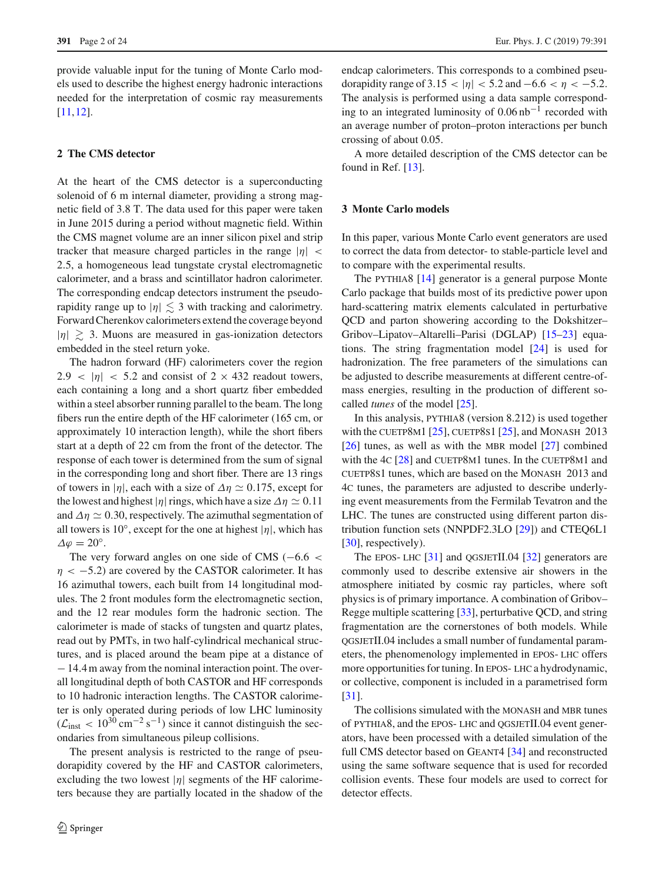provide valuable input for the tuning of Monte Carlo models used to describe the highest energy hadronic interactions needed for the interpretation of cosmic ray measurements [\[11](#page-9-8),[12\]](#page-9-9).

#### **2 The CMS detector**

At the heart of the CMS detector is a superconducting solenoid of 6 m internal diameter, providing a strong magnetic field of 3.8 T. The data used for this paper were taken in June 2015 during a period without magnetic field. Within the CMS magnet volume are an inner silicon pixel and strip tracker that measure charged particles in the range  $|\eta|$  < 2.5, a homogeneous lead tungstate crystal electromagnetic calorimeter, and a brass and scintillator hadron calorimeter. The corresponding endcap detectors instrument the pseudorapidity range up to  $|\eta| \lesssim 3$  with tracking and calorimetry. Forward Cherenkov calorimeters extend the coverage beyond  $|\eta| \gtrsim$  3. Muons are measured in gas-ionization detectors embedded in the steel return yoke.

The hadron forward (HF) calorimeters cover the region  $2.9 < |\eta| < 5.2$  and consist of  $2 \times 432$  readout towers, each containing a long and a short quartz fiber embedded within a steel absorber running parallel to the beam. The long fibers run the entire depth of the HF calorimeter (165 cm, or approximately 10 interaction length), while the short fibers start at a depth of 22 cm from the front of the detector. The response of each tower is determined from the sum of signal in the corresponding long and short fiber. There are 13 rings of towers in  $|\eta|$ , each with a size of  $\Delta \eta \simeq 0.175$ , except for the lowest and highest  $|\eta|$  rings, which have a size  $\Delta \eta \simeq 0.11$ and  $\Delta \eta \simeq 0.30$ , respectively. The azimuthal segmentation of all towers is 10 $^{\circ}$ , except for the one at highest  $|\eta|$ , which has  $\Delta \varphi = 20^\circ$ .

The very forward angles on one side of CMS  $(-6.6 <$  $\eta$  < -5.2) are covered by the CASTOR calorimeter. It has 16 azimuthal towers, each built from 14 longitudinal modules. The 2 front modules form the electromagnetic section, and the 12 rear modules form the hadronic section. The calorimeter is made of stacks of tungsten and quartz plates, read out by PMTs, in two half-cylindrical mechanical structures, and is placed around the beam pipe at a distance of − 14.4 m away from the nominal interaction point. The overall longitudinal depth of both CASTOR and HF corresponds to 10 hadronic interaction lengths. The CASTOR calorimeter is only operated during periods of low LHC luminosity  $(\mathcal{L}_{inst} < 10^{30} \text{ cm}^{-2} \text{ s}^{-1})$  since it cannot distinguish the secondaries from simultaneous pileup collisions.

The present analysis is restricted to the range of pseudorapidity covered by the HF and CASTOR calorimeters, excluding the two lowest  $|\eta|$  segments of the HF calorimeters because they are partially located in the shadow of the endcap calorimeters. This corresponds to a combined pseudorapidity range of  $3.15 < |\eta| < 5.2$  and  $-6.6 < \eta < -5.2$ . The analysis is performed using a data sample corresponding to an integrated luminosity of  $0.06$  nb<sup>-1</sup> recorded with an average number of proton–proton interactions per bunch crossing of about 0.05.

A more detailed description of the CMS detector can be found in Ref. [\[13\]](#page-9-10).

#### **3 Monte Carlo models**

In this paper, various Monte Carlo event generators are used to correct the data from detector- to stable-particle level and to compare with the experimental results.

The PYTHIA8 [\[14\]](#page-9-11) generator is a general purpose Monte Carlo package that builds most of its predictive power upon hard-scattering matrix elements calculated in perturbative QCD and parton showering according to the Dokshitzer– Gribov–Lipatov–Altarelli–Parisi (DGLAP) [\[15](#page-9-12)[–23\]](#page-9-13) equations. The string fragmentation model [\[24\]](#page-9-14) is used for hadronization. The free parameters of the simulations can be adjusted to describe measurements at different centre-ofmass energies, resulting in the production of different socalled *tunes* of the model [\[25](#page-9-15)].

In this analysis, pythia8 (version 8.212) is used together with the CUETP8M1  $[25]$  $[25]$ , CUETP8S1  $[25]$ , and MONASH 2013 [\[26](#page-9-16)] tunes, as well as with the MBR model  $[27]$  $[27]$  combined with the  $4C$  [ $28$ ] and CUETP8M1 tunes. In the CUETP8M1 and cuetp8s1 tunes, which are based on the MONASH 2013 and 4c tunes, the parameters are adjusted to describe underlying event measurements from the Fermilab Tevatron and the LHC. The tunes are constructed using different parton distribution function sets (NNPDF2.3LO [\[29](#page-9-19)]) and CTEQ6L1 [\[30](#page-9-20)], respectively).

The EPOS- LHC  $[31]$  $[31]$  and QGSJETII.04  $[32]$  $[32]$  generators are commonly used to describe extensive air showers in the atmosphere initiated by cosmic ray particles, where soft physics is of primary importance. A combination of Gribov– Regge multiple scattering [\[33](#page-9-23)], perturbative QCD, and string fragmentation are the cornerstones of both models. While qgsjetII.04 includes a small number of fundamental parameters, the phenomenology implemented in epos- lhc offers more opportunities for tuning. In EPOS- LHC a hydrodynamic, or collective, component is included in a parametrised form [\[31](#page-9-21)].

The collisions simulated with the MONASH and MBR tunes of pythia8, and the epos- lhc and qgsjetII.04 event generators, have been processed with a detailed simulation of the full CMS detector based on GEANT4 [\[34\]](#page-9-24) and reconstructed using the same software sequence that is used for recorded collision events. These four models are used to correct for detector effects.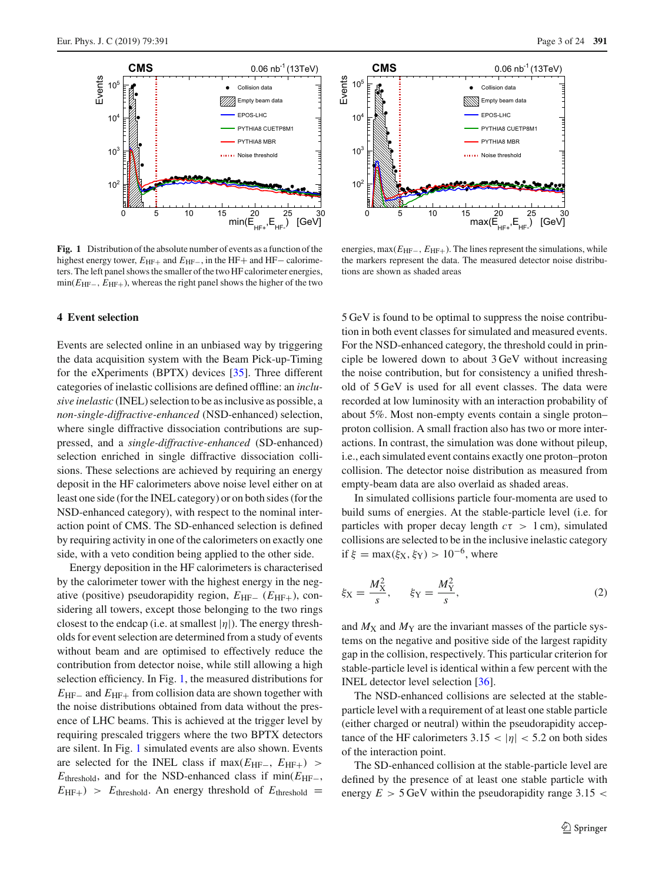

<span id="page-2-0"></span>**Fig. 1** Distribution of the absolute number of events as a function of the highest energy tower,  $E_{HF+}$  and  $E_{HF-}$ , in the HF+ and HF− calorimeters. The left panel shows the smaller of the two HF calorimeter energies, min(*E*HF−, *E*HF+), whereas the right panel shows the higher of the two

#### **4 Event selection**

Events are selected online in an unbiased way by triggering the data acquisition system with the Beam Pick-up-Timing for the eXperiments (BPTX) devices [\[35\]](#page-9-25). Three different categories of inelastic collisions are defined offline: an *inclusive inelastic* (INEL) selection to be as inclusive as possible, a *non-single-diffractive-enhanced* (NSD-enhanced) selection, where single diffractive dissociation contributions are suppressed, and a *single-diffractive-enhanced* (SD-enhanced) selection enriched in single diffractive dissociation collisions. These selections are achieved by requiring an energy deposit in the HF calorimeters above noise level either on at least one side (for the INEL category) or on both sides (for the NSD-enhanced category), with respect to the nominal interaction point of CMS. The SD-enhanced selection is defined by requiring activity in one of the calorimeters on exactly one side, with a veto condition being applied to the other side.

Energy deposition in the HF calorimeters is characterised by the calorimeter tower with the highest energy in the negative (positive) pseudorapidity region, *E*HF<sup>−</sup> (*E*HF+), considering all towers, except those belonging to the two rings closest to the endcap (i.e. at smallest  $|\eta|$ ). The energy thresholds for event selection are determined from a study of events without beam and are optimised to effectively reduce the contribution from detector noise, while still allowing a high selection efficiency. In Fig. [1,](#page-2-0) the measured distributions for  $E_{\text{HF}-}$  and  $E_{\text{HF}+}$  from collision data are shown together with the noise distributions obtained from data without the presence of LHC beams. This is achieved at the trigger level by requiring prescaled triggers where the two BPTX detectors are silent. In Fig. [1](#page-2-0) simulated events are also shown. Events are selected for the INEL class if max $(E_{HF-}, E_{HF+})$  > *E*threshold, and for the NSD-enhanced class if min(*E*HF−,  $E_{HF+})$  >  $E_{threshold}$ . An energy threshold of  $E_{threshold}$  =



energies, max(*E*HF−, *E*HF+). The lines represent the simulations, while the markers represent the data. The measured detector noise distributions are shown as shaded areas

5 GeV is found to be optimal to suppress the noise contribution in both event classes for simulated and measured events. For the NSD-enhanced category, the threshold could in principle be lowered down to about 3 GeV without increasing the noise contribution, but for consistency a unified threshold of 5 GeV is used for all event classes. The data were recorded at low luminosity with an interaction probability of about 5%. Most non-empty events contain a single proton– proton collision. A small fraction also has two or more interactions. In contrast, the simulation was done without pileup, i.e., each simulated event contains exactly one proton–proton collision. The detector noise distribution as measured from empty-beam data are also overlaid as shaded areas.

In simulated collisions particle four-momenta are used to build sums of energies. At the stable-particle level (i.e. for particles with proper decay length  $c\tau > 1$  cm), simulated collisions are selected to be in the inclusive inelastic category if  $\xi = \max(\xi_X, \xi_Y) > 10^{-6}$ , where

$$
\xi_X = \frac{M_X^2}{s}, \qquad \xi_Y = \frac{M_Y^2}{s}, \tag{2}
$$

and  $M_X$  and  $M_Y$  are the invariant masses of the particle systems on the negative and positive side of the largest rapidity gap in the collision, respectively. This particular criterion for stable-particle level is identical within a few percent with the INEL detector level selection [\[36\]](#page-9-26).

The NSD-enhanced collisions are selected at the stableparticle level with a requirement of at least one stable particle (either charged or neutral) within the pseudorapidity acceptance of the HF calorimeters  $3.15 < |\eta| < 5.2$  on both sides of the interaction point.

The SD-enhanced collision at the stable-particle level are defined by the presence of at least one stable particle with energy  $E > 5$  GeV within the pseudorapidity range 3.15  $\lt$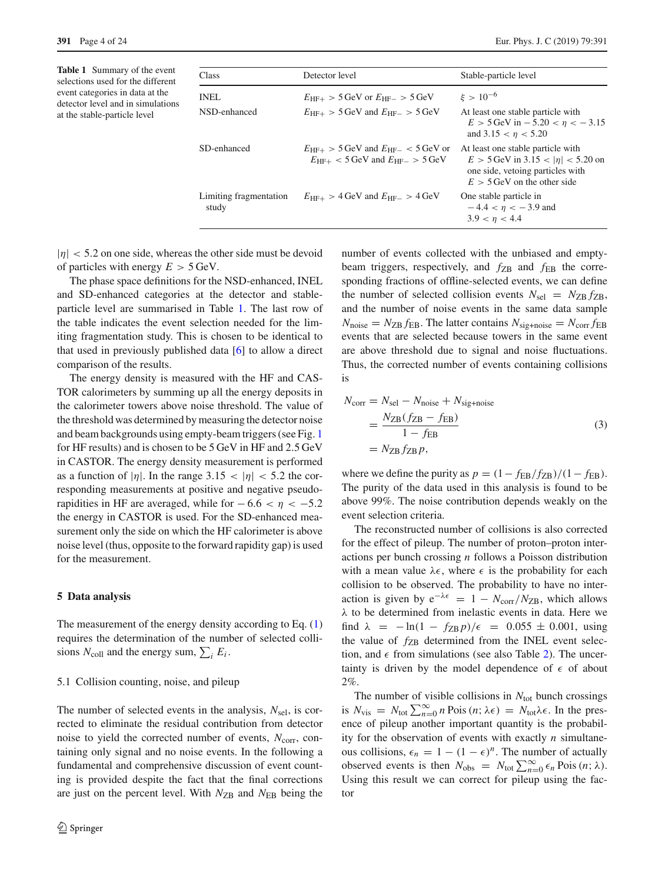<span id="page-3-0"></span>**Table 1** Summary of the event selections used for the different event categories in data at the detector level and in simulations at the stable-particle level

| $\sim$ $\mu$ o                  | 120000011110701                                                                                                   | $\sigma$ baracter $\sigma$                                                                                                                         |  |
|---------------------------------|-------------------------------------------------------------------------------------------------------------------|----------------------------------------------------------------------------------------------------------------------------------------------------|--|
| INEL.                           | $E_{\text{HF+}} > 5 \,\text{GeV}$ or $E_{\text{HF-}} > 5 \,\text{GeV}$                                            | $\xi > 10^{-6}$                                                                                                                                    |  |
| NSD-enhanced                    | $E_{\text{HF+}} > 5$ GeV and $E_{\text{HF-}} > 5$ GeV                                                             | At least one stable particle with<br>$E > 5$ GeV in $-5.20 < n < -3.15$<br>and $3.15 < n < 5.20$                                                   |  |
| SD-enhanced                     | $E_{\text{HF+}} > 5$ GeV and $E_{\text{HF-}} < 5$ GeV or<br>$E_{\text{HF+}} < 5$ GeV and $E_{\text{HF-}} > 5$ GeV | At least one stable particle with<br>$E > 5$ GeV in 3.15 < $ \eta $ < 5.20 on<br>one side, vetoing particles with<br>$E > 5$ GeV on the other side |  |
| Limiting fragmentation<br>study | $E_{\text{HF+}} > 4$ GeV and $E_{\text{HF-}} > 4$ GeV                                                             | One stable particle in<br>$-4.4 < n < -3.9$ and<br>3.9 < n < 4.4                                                                                   |  |

 $|\eta|$  < 5.2 on one side, whereas the other side must be devoid of particles with energy  $E > 5$  GeV.

The phase space definitions for the NSD-enhanced, INEL and SD-enhanced categories at the detector and stableparticle level are summarised in Table [1.](#page-3-0) The last row of the table indicates the event selection needed for the limiting fragmentation study. This is chosen to be identical to that used in previously published data [\[6](#page-9-3)] to allow a direct comparison of the results.

The energy density is measured with the HF and CAS-TOR calorimeters by summing up all the energy deposits in the calorimeter towers above noise threshold. The value of the threshold was determined by measuring the detector noise and beam backgrounds using empty-beam triggers (see Fig. [1](#page-2-0) for HF results) and is chosen to be 5 GeV in HF and 2.5 GeV in CASTOR. The energy density measurement is performed as a function of  $|\eta|$ . In the range 3.15  $< |\eta| < 5.2$  the corresponding measurements at positive and negative pseudorapidities in HF are averaged, while for  $-6.6 < \eta < -5.2$ the energy in CASTOR is used. For the SD-enhanced measurement only the side on which the HF calorimeter is above noise level (thus, opposite to the forward rapidity gap) is used for the measurement.

#### **5 Data analysis**

The measurement of the energy density according to Eq. [\(1\)](#page-0-1) requires the determination of the number of selected collisions  $N_{\text{coll}}$  and the energy sum,  $\sum_i E_i$ .

#### 5.1 Collision counting, noise, and pileup

The number of selected events in the analysis,  $N_{\text{sel}}$ , is corrected to eliminate the residual contribution from detector noise to yield the corrected number of events,  $N_{\text{corr}}$ , containing only signal and no noise events. In the following a fundamental and comprehensive discussion of event counting is provided despite the fact that the final corrections are just on the percent level. With  $N_{\text{ZB}}$  and  $N_{\text{EB}}$  being the number of events collected with the unbiased and emptybeam triggers, respectively, and  $f_{\text{ZB}}$  and  $f_{\text{EB}}$  the corresponding fractions of offline-selected events, we can define the number of selected collision events  $N_{\text{sel}} = N_{\text{ZB}} f_{\text{ZB}}$ , and the number of noise events in the same data sample  $N_{\text{noise}} = N_{\text{ZB}} f_{\text{EB}}$ . The latter contains  $N_{\text{sig+noise}} = N_{\text{corr}} f_{\text{EB}}$ events that are selected because towers in the same event are above threshold due to signal and noise fluctuations. Thus, the corrected number of events containing collisions is

$$
N_{\text{corr}} = N_{\text{sel}} - N_{\text{noise}} + N_{\text{sig-noise}}
$$
  
= 
$$
\frac{N_{\text{ZB}}(f_{\text{ZB}} - f_{\text{EB}})}{1 - f_{\text{EB}}}
$$
  
= 
$$
N_{\text{ZB}} f_{\text{ZB}} p,
$$
 (3)

where we define the purity as  $p = (1 - f_{EB}/f_{ZB})/(1 - f_{EB})$ . The purity of the data used in this analysis is found to be above 99%. The noise contribution depends weakly on the event selection criteria.

The reconstructed number of collisions is also corrected for the effect of pileup. The number of proton–proton interactions per bunch crossing *n* follows a Poisson distribution with a mean value  $\lambda \epsilon$ , where  $\epsilon$  is the probability for each collision to be observed. The probability to have no interaction is given by  $e^{-\lambda \epsilon} = 1 - N_{\text{corr}}/N_{\text{ZB}}$ , which allows λ to be determined from inelastic events in data. Here we find  $\lambda = -\ln(1 - f_{\text{ZB}} p)/\epsilon = 0.055 \pm 0.001$ , using the value of  $f_{\text{ZB}}$  determined from the INEL event selection, and  $\epsilon$  from simulations (see also Table [2\)](#page-4-0). The uncertainty is driven by the model dependence of  $\epsilon$  of about 2%.

The number of visible collisions in  $N_{\text{tot}}$  bunch crossings is  $N_{\text{vis}} = N_{\text{tot}} \sum_{n=0}^{\infty} n \text{Pois}(n; \lambda \epsilon) = N_{\text{tot}} \lambda \epsilon$ . In the presence of pileup another important quantity is the probability for the observation of events with exactly *n* simultaneous collisions,  $\epsilon_n = 1 - (1 - \epsilon)^n$ . The number of actually observed events is then  $N_{\text{obs}} = N_{\text{tot}} \sum_{n=0}^{\infty} \epsilon_n \text{Pois}(n; \lambda)$ . Using this result we can correct for pileup using the factor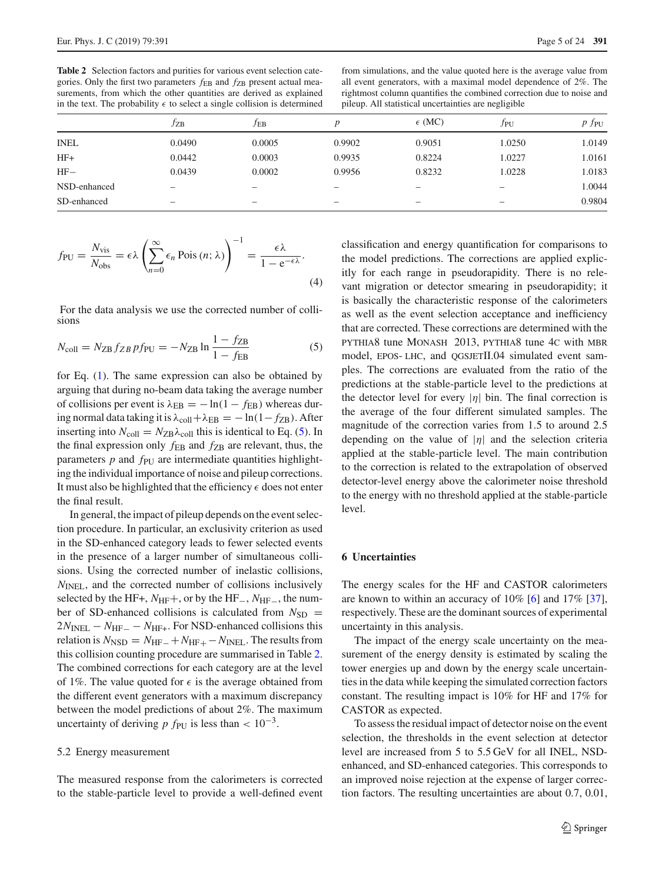<span id="page-4-0"></span>**Table 2** Selection factors and purities for various event selection categories. Only the first two parameters  $f_{EB}$  and  $f_{ZB}$  present actual measurements, from which the other quantities are derived as explained in the text. The probability  $\epsilon$  to select a single collision is determined

from simulations, and the value quoted here is the average value from all event generators, with a maximal model dependence of 2%. The rightmost column quantifies the combined correction due to noise and pileup. All statistical uncertainties are negligible

|              | JZB                      | ĴЕB                      |                          | $\epsilon$ (MC) | <i>J</i> pu | $p_{fPU}$ |
|--------------|--------------------------|--------------------------|--------------------------|-----------------|-------------|-----------|
| <b>INEL</b>  | 0.0490                   | 0.0005                   | 0.9902                   | 0.9051          | 1.0250      | .0149     |
| $HF+$        | 0.0442                   | 0.0003                   | 0.9935                   | 0.8224          | 1.0227      | .0161     |
| $HF-$        | 0.0439                   | 0.0002                   | 0.9956                   | 0.8232          | 1.0228      | 1.0183    |
| NSD-enhanced | -                        | -                        | -                        | -               | -           | .0044     |
| SD-enhanced  | $\overline{\phantom{a}}$ | $\overline{\phantom{0}}$ | $\overline{\phantom{0}}$ | -               | -           | 0.9804    |

$$
f_{\rm PU} = \frac{N_{\rm vis}}{N_{\rm obs}} = \epsilon \lambda \left( \sum_{n=0}^{\infty} \epsilon_n \operatorname{Pois}\left(n; \lambda\right) \right)^{-1} = \frac{\epsilon \lambda}{1 - e^{-\epsilon \lambda}}.
$$
\n(4)

<span id="page-4-1"></span>For the data analysis we use the corrected number of collisions

$$
N_{\text{coll}} = N_{\text{ZB}} f_{\text{ZB}} p f_{\text{PU}} = -N_{\text{ZB}} \ln \frac{1 - f_{\text{ZB}}}{1 - f_{\text{EB}}}
$$
(5)

for Eq. [\(1\)](#page-0-1). The same expression can also be obtained by arguing that during no-beam data taking the average number of collisions per event is  $\lambda_{EB} = -\ln(1 - f_{EB})$  whereas during normal data taking it is  $\lambda_{\text{coll}} + \lambda_{\text{EB}} = -\ln(1 - f_{\text{ZB}})$ . After inserting into  $N_{\text{coll}} = N_{\text{ZB}} \lambda_{\text{coll}}$  this is identical to Eq. [\(5\)](#page-4-1). In the final expression only  $f_{EB}$  and  $f_{ZB}$  are relevant, thus, the parameters  $p$  and  $f_{PU}$  are intermediate quantities highlighting the individual importance of noise and pileup corrections. It must also be highlighted that the efficiency  $\epsilon$  does not enter the final result.

In general, the impact of pileup depends on the event selection procedure. In particular, an exclusivity criterion as used in the SD-enhanced category leads to fewer selected events in the presence of a larger number of simultaneous collisions. Using the corrected number of inelastic collisions, *N*<sub>INEL</sub>, and the corrected number of collisions inclusively selected by the HF+,  $N_{\text{HF}}+$ , or by the HF<sub>−</sub>,  $N_{\text{HF}}-$ , the number of SD-enhanced collisions is calculated from  $N_{SD}$  =  $2N_{\text{INEL}} - N_{\text{HF}-} - N_{\text{HF}+}$ . For NSD-enhanced collisions this relation is  $N_{\text{NSD}} = N_{\text{HF}-} + N_{\text{HF}+} - N_{\text{INEL}}$ . The results from this collision counting procedure are summarised in Table [2.](#page-4-0) The combined corrections for each category are at the level of 1%. The value quoted for  $\epsilon$  is the average obtained from the different event generators with a maximum discrepancy between the model predictions of about 2%. The maximum uncertainty of deriving *p* f<sub>PU</sub> is less than  $< 10^{-3}$ .

#### 5.2 Energy measurement

The measured response from the calorimeters is corrected to the stable-particle level to provide a well-defined event classification and energy quantification for comparisons to the model predictions. The corrections are applied explicitly for each range in pseudorapidity. There is no relevant migration or detector smearing in pseudorapidity; it is basically the characteristic response of the calorimeters as well as the event selection acceptance and inefficiency that are corrected. These corrections are determined with the pythia8 tune Monash 2013, pythia8 tune 4c with mbr model, EPOS- LHC, and QGSJETII.04 simulated event samples. The corrections are evaluated from the ratio of the predictions at the stable-particle level to the predictions at the detector level for every  $|\eta|$  bin. The final correction is the average of the four different simulated samples. The magnitude of the correction varies from 1.5 to around 2.5 depending on the value of  $|\eta|$  and the selection criteria applied at the stable-particle level. The main contribution to the correction is related to the extrapolation of observed detector-level energy above the calorimeter noise threshold to the energy with no threshold applied at the stable-particle level.

#### **6 Uncertainties**

The energy scales for the HF and CASTOR calorimeters are known to within an accuracy of 10% [\[6\]](#page-9-3) and 17% [\[37](#page-9-27)], respectively. These are the dominant sources of experimental uncertainty in this analysis.

The impact of the energy scale uncertainty on the measurement of the energy density is estimated by scaling the tower energies up and down by the energy scale uncertainties in the data while keeping the simulated correction factors constant. The resulting impact is 10% for HF and 17% for CASTOR as expected.

To assess the residual impact of detector noise on the event selection, the thresholds in the event selection at detector level are increased from 5 to 5.5 GeV for all INEL, NSDenhanced, and SD-enhanced categories. This corresponds to an improved noise rejection at the expense of larger correction factors. The resulting uncertainties are about 0.7, 0.01,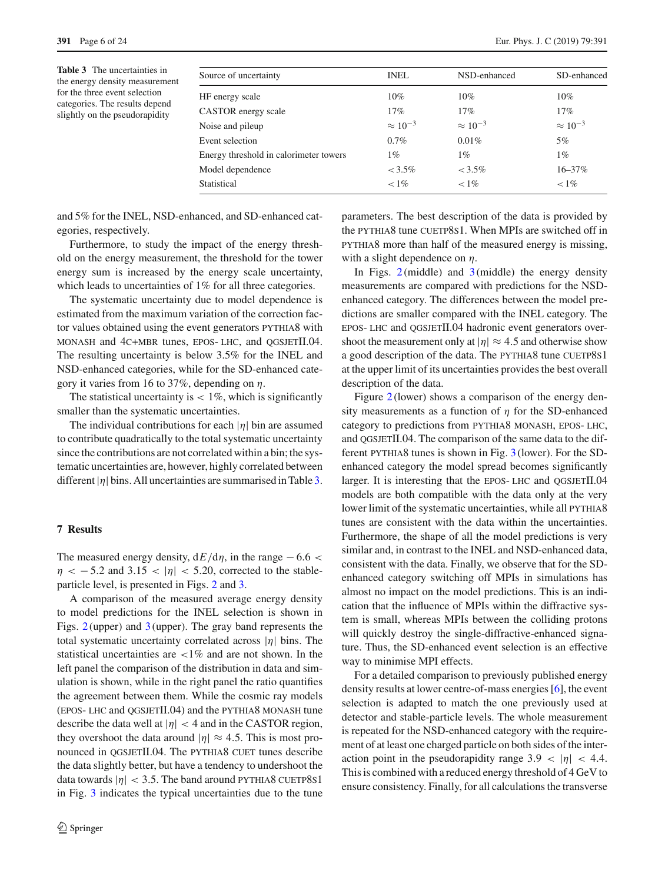<span id="page-5-0"></span>**Table 3** The uncertainties in the energy density measurement for the three event selection categories. The results depend slightly on the pseudorapidity

| Source of uncertainty                  | <b>INEL</b>       | NSD-enhanced      | SD-enhanced       |
|----------------------------------------|-------------------|-------------------|-------------------|
| HF energy scale                        | 10%               | $10\%$            | $10\%$            |
| CASTOR energy scale                    | 17%               | 17%               | 17%               |
| Noise and pileup                       | $\approx 10^{-3}$ | $\approx 10^{-3}$ | $\approx 10^{-3}$ |
| Event selection                        | $0.7\%$           | 0.01%             | 5%                |
| Energy threshold in calorimeter towers | $1\%$             | $1\%$             | $1\%$             |
| Model dependence                       | $< 3.5\%$         | $< 3.5\%$         | $16 - 37\%$       |
| Statistical                            | $< 1\%$           | $< 1\%$           | $< 1\%$           |

and 5% for the INEL, NSD-enhanced, and SD-enhanced categories, respectively.

Furthermore, to study the impact of the energy threshold on the energy measurement, the threshold for the tower energy sum is increased by the energy scale uncertainty, which leads to uncertainties of 1% for all three categories.

The systematic uncertainty due to model dependence is estimated from the maximum variation of the correction factor values obtained using the event generators PYTHIA8 with monash and 4c+mbr tunes, epos- lhc, and qgsjetII.04. The resulting uncertainty is below 3.5% for the INEL and NSD-enhanced categories, while for the SD-enhanced category it varies from 16 to 37%, depending on  $\eta$ .

The statistical uncertainty is  $< 1\%$ , which is significantly smaller than the systematic uncertainties.

The individual contributions for each  $|\eta|$  bin are assumed to contribute quadratically to the total systematic uncertainty since the contributions are not correlated within a bin; the systematic uncertainties are, however, highly correlated between different  $|\eta|$  bins. All uncertainties are summarised in Table [3.](#page-5-0)

#### **7 Results**

The measured energy density,  $dE/d\eta$ , in the range  $-6.6 <$  $\eta$  < -5.2 and 3.15 <  $|\eta|$  < 5.20, corrected to the stableparticle level, is presented in Figs. [2](#page-6-0) and [3.](#page-7-0)

A comparison of the measured average energy density to model predictions for the INEL selection is shown in Figs. [2](#page-6-0) (upper) and [3](#page-7-0) (upper). The gray band represents the total systematic uncertainty correlated across  $|\eta|$  bins. The statistical uncertainties are  $\langle 1\% \rangle$  and are not shown. In the left panel the comparison of the distribution in data and simulation is shown, while in the right panel the ratio quantifies the agreement between them. While the cosmic ray models (epos- lhc and qgsjetII.04) and the pythia<sup>8</sup> monash tune describe the data well at  $|\eta| < 4$  and in the CASTOR region, they overshoot the data around  $|\eta| \approx 4.5$ . This is most pronounced in QGSJETII.04. The PYTHIA8 CUET tunes describe the data slightly better, but have a tendency to undershoot the data towards  $|\eta| < 3.5$ . The band around PYTHIA8 CUETP8S1 in Fig. [3](#page-7-0) indicates the typical uncertainties due to the tune

parameters. The best description of the data is provided by the PYTHIA8 tune CUETP8s1. When MPIs are switched off in pythia8 more than half of the measured energy is missing, with a slight dependence on  $\eta$ .

In Figs.  $2$  (middle) and  $3$  (middle) the energy density measurements are compared with predictions for the NSDenhanced category. The differences between the model predictions are smaller compared with the INEL category. The epos- lhc and qgsjetII.04 hadronic event generators overshoot the measurement only at  $|\eta| \approx 4.5$  and otherwise show a good description of the data. The PYTHIA8 tune CUETP8S1 at the upper limit of its uncertainties provides the best overall description of the data.

Figure [2](#page-6-0) (lower) shows a comparison of the energy density measurements as a function of  $\eta$  for the SD-enhanced category to predictions from pythia<sup>8</sup> monash, epos- lhc, and QGSJETII.04. The comparison of the same data to the different pythia8 tunes is shown in Fig. [3](#page-7-0) (lower). For the SDenhanced category the model spread becomes significantly larger. It is interesting that the EPOS- LHC and QGSJETII.04 models are both compatible with the data only at the very lower limit of the systematic uncertainties, while all PYTHIA8 tunes are consistent with the data within the uncertainties. Furthermore, the shape of all the model predictions is very similar and, in contrast to the INEL and NSD-enhanced data, consistent with the data. Finally, we observe that for the SDenhanced category switching off MPIs in simulations has almost no impact on the model predictions. This is an indication that the influence of MPIs within the diffractive system is small, whereas MPIs between the colliding protons will quickly destroy the single-diffractive-enhanced signature. Thus, the SD-enhanced event selection is an effective way to minimise MPI effects.

For a detailed comparison to previously published energy density results at lower centre-of-mass energies [\[6\]](#page-9-3), the event selection is adapted to match the one previously used at detector and stable-particle levels. The whole measurement is repeated for the NSD-enhanced category with the requirement of at least one charged particle on both sides of the interaction point in the pseudorapidity range  $3.9 < |\eta| < 4.4$ . This is combined with a reduced energy threshold of 4 GeV to ensure consistency. Finally, for all calculations the transverse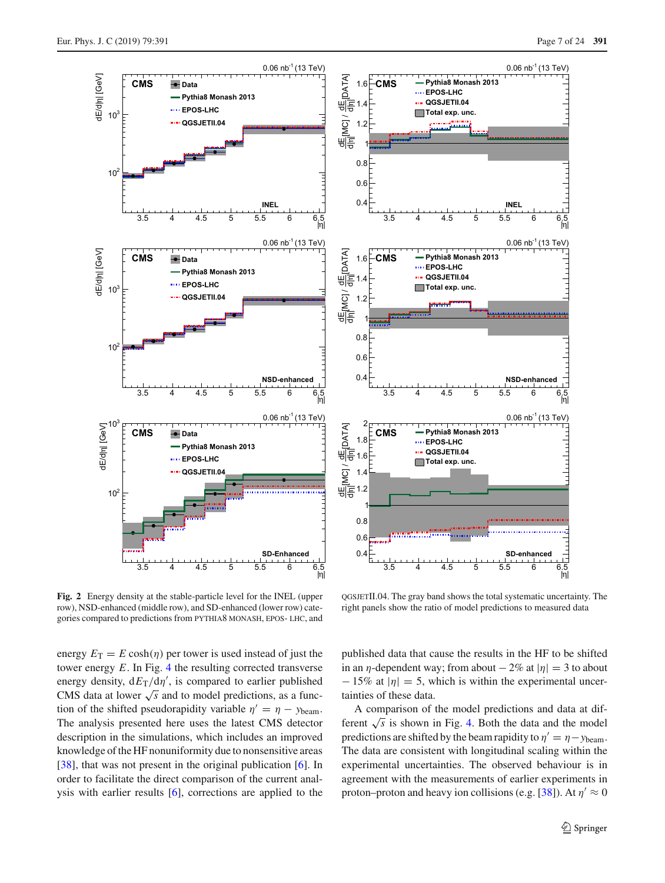



<span id="page-6-0"></span>**Fig. 2** Energy density at the stable-particle level for the INEL (upper row), NSD-enhanced (middle row), and SD-enhanced (lower row) categories compared to predictions from pythia<sup>8</sup> monash, epos- lhc, and

energy  $E_T = E \cosh(\eta)$  per tower is used instead of just the tower energy *E*. In Fig. [4](#page-8-0) the resulting corrected transverse energy density,  $dE_T/d\eta'$ , is compared to earlier published CMS data at lower  $\sqrt{s}$  and to model predictions, as a function of the shifted pseudorapidity variable  $\eta' = \eta - y_{\text{beam}}$ . The analysis presented here uses the latest CMS detector description in the simulations, which includes an improved knowledge of the HF nonuniformity due to nonsensitive areas [\[38](#page-9-28)], that was not present in the original publication [\[6](#page-9-3)]. In order to facilitate the direct comparison of the current analysis with earlier results [\[6\]](#page-9-3), corrections are applied to the

qgsjetII.04. The gray band shows the total systematic uncertainty. The right panels show the ratio of model predictions to measured data

published data that cause the results in the HF to be shifted in an *η*-dependent way; from about  $-2\%$  at  $|\eta| = 3$  to about  $-15\%$  at  $|\eta| = 5$ , which is within the experimental uncertainties of these data.

A comparison of the model predictions and data at different  $\sqrt{s}$  is shown in Fig. [4.](#page-8-0) Both the data and the model predictions are shifted by the beam rapidity to  $\eta' = \eta - y_{\text{beam}}$ . The data are consistent with longitudinal scaling within the experimental uncertainties. The observed behaviour is in agreement with the measurements of earlier experiments in proton–proton and heavy ion collisions (e.g. [\[38\]](#page-9-28)). At  $\eta' \approx 0$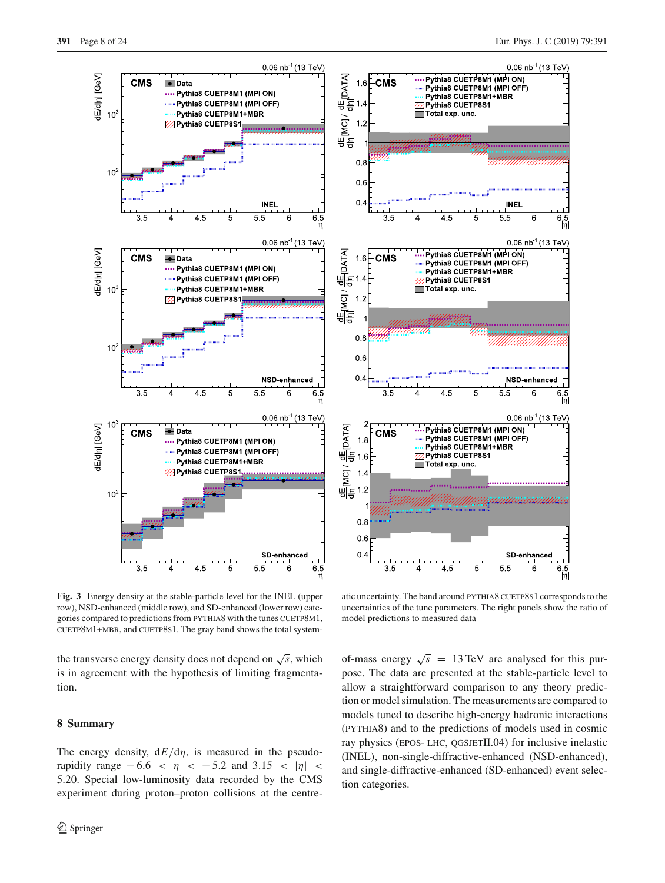

<span id="page-7-0"></span>**Fig. 3** Energy density at the stable-particle level for the INEL (upper row), NSD-enhanced (middle row), and SD-enhanced (lower row) categories compared to predictions from PYTHIA8 with the tunes CUETP8M1, cuetp8m1+mbr, and cuetp8s1. The gray band shows the total system-

the transverse energy density does not depend on  $\sqrt{s}$ , which is in agreement with the hypothesis of limiting fragmentation.

#### **8 Summary**

The energy density,  $dE/d\eta$ , is measured in the pseudorapidity range  $-6.6 < \eta < -5.2$  and 3.15 <  $|\eta|$  < 5.20. Special low-luminosity data recorded by the CMS experiment during proton–proton collisions at the centre-



atic uncertainty. The band around PYTHIA8 CUETP8S1 corresponds to the uncertainties of the tune parameters. The right panels show the ratio of model predictions to measured data

of-mass energy  $\sqrt{s}$  = 13 TeV are analysed for this purpose. The data are presented at the stable-particle level to allow a straightforward comparison to any theory prediction or model simulation. The measurements are compared to models tuned to describe high-energy hadronic interactions (pythia8) and to the predictions of models used in cosmic ray physics (epos- lhc, qgsjetII.04) for inclusive inelastic (INEL), non-single-diffractive-enhanced (NSD-enhanced), and single-diffractive-enhanced (SD-enhanced) event selection categories.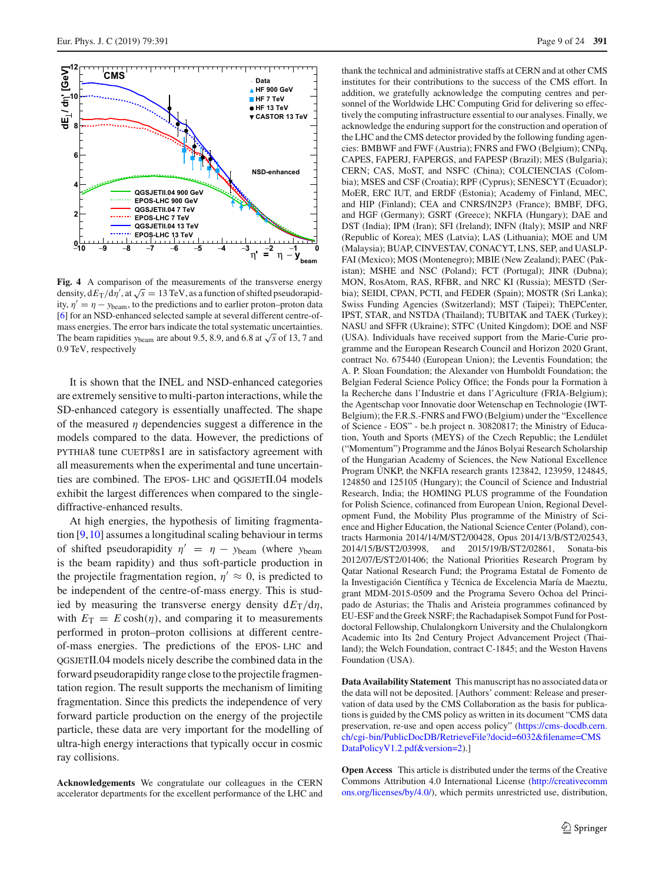

<span id="page-8-0"></span>**Fig. 4** A comparison of the measurements of the transverse energy density,  $dE_T/d\eta'$ , at  $\sqrt{s} = 13$  TeV, as a function of shifted pseudorapidity,  $\eta' = \eta - y_{\text{beam}}$ , to the predictions and to earlier proton–proton data [\[6](#page-9-3)] for an NSD-enhanced selected sample at several different centre-ofmass energies. The error bars indicate the total systematic uncertainties. The beam rapidities  $y_{\text{beam}}$  are about 9.5, 8.9, and 6.8 at  $\sqrt{s}$  of 13, 7 and 0.9 TeV, respectively

It is shown that the INEL and NSD-enhanced categories are extremely sensitive to multi-parton interactions, while the SD-enhanced category is essentially unaffected. The shape of the measured  $\eta$  dependencies suggest a difference in the models compared to the data. However, the predictions of PYTHIA8 tune CUETP8S1 are in satisfactory agreement with all measurements when the experimental and tune uncertainties are combined. The EPOS- LHC and QGSJETII.04 models exhibit the largest differences when compared to the singlediffractive-enhanced results.

At high energies, the hypothesis of limiting fragmentation [\[9,](#page-9-6)[10\]](#page-9-7) assumes a longitudinal scaling behaviour in terms of shifted pseudorapidity  $\eta' = \eta - y_{\text{beam}}$  (where  $y_{\text{beam}}$ is the beam rapidity) and thus soft-particle production in the projectile fragmentation region,  $\eta' \approx 0$ , is predicted to be independent of the centre-of-mass energy. This is studied by measuring the transverse energy density  $dE_T/d\eta$ , with  $E_T = E \cosh(\eta)$ , and comparing it to measurements performed in proton–proton collisions at different centreof-mass energies. The predictions of the epos- lhc and qgsjetII.04 models nicely describe the combined data in the forward pseudorapidity range close to the projectile fragmentation region. The result supports the mechanism of limiting fragmentation. Since this predicts the independence of very forward particle production on the energy of the projectile particle, these data are very important for the modelling of ultra-high energy interactions that typically occur in cosmic ray collisions.

**Acknowledgements** We congratulate our colleagues in the CERN accelerator departments for the excellent performance of the LHC and

thank the technical and administrative staffs at CERN and at other CMS institutes for their contributions to the success of the CMS effort. In addition, we gratefully acknowledge the computing centres and personnel of the Worldwide LHC Computing Grid for delivering so effectively the computing infrastructure essential to our analyses. Finally, we acknowledge the enduring support for the construction and operation of the LHC and the CMS detector provided by the following funding agencies: BMBWF and FWF (Austria); FNRS and FWO (Belgium); CNPq, CAPES, FAPERJ, FAPERGS, and FAPESP (Brazil); MES (Bulgaria); CERN; CAS, MoST, and NSFC (China); COLCIENCIAS (Colombia); MSES and CSF (Croatia); RPF (Cyprus); SENESCYT (Ecuador); MoER, ERC IUT, and ERDF (Estonia); Academy of Finland, MEC, and HIP (Finland); CEA and CNRS/IN2P3 (France); BMBF, DFG, and HGF (Germany); GSRT (Greece); NKFIA (Hungary); DAE and DST (India); IPM (Iran); SFI (Ireland); INFN (Italy); MSIP and NRF (Republic of Korea); MES (Latvia); LAS (Lithuania); MOE and UM (Malaysia); BUAP, CINVESTAV, CONACYT, LNS, SEP, and UASLP-FAI (Mexico); MOS (Montenegro); MBIE (New Zealand); PAEC (Pakistan); MSHE and NSC (Poland); FCT (Portugal); JINR (Dubna); MON, RosAtom, RAS, RFBR, and NRC KI (Russia); MESTD (Serbia); SEIDI, CPAN, PCTI, and FEDER (Spain); MOSTR (Sri Lanka); Swiss Funding Agencies (Switzerland); MST (Taipei); ThEPCenter, IPST, STAR, and NSTDA (Thailand); TUBITAK and TAEK (Turkey); NASU and SFFR (Ukraine); STFC (United Kingdom); DOE and NSF (USA). Individuals have received support from the Marie-Curie programme and the European Research Council and Horizon 2020 Grant, contract No. 675440 (European Union); the Leventis Foundation; the A. P. Sloan Foundation; the Alexander von Humboldt Foundation; the Belgian Federal Science Policy Office; the Fonds pour la Formation à la Recherche dans l'Industrie et dans l'Agriculture (FRIA-Belgium); the Agentschap voor Innovatie door Wetenschap en Technologie (IWT-Belgium); the F.R.S.-FNRS and FWO (Belgium) under the "Excellence of Science - EOS" - be.h project n. 30820817; the Ministry of Education, Youth and Sports (MEYS) of the Czech Republic; the Lendület ("Momentum") Programme and the János Bolyai Research Scholarship of the Hungarian Academy of Sciences, the New National Excellence Program ÚNKP, the NKFIA research grants 123842, 123959, 124845, 124850 and 125105 (Hungary); the Council of Science and Industrial Research, India; the HOMING PLUS programme of the Foundation for Polish Science, cofinanced from European Union, Regional Development Fund, the Mobility Plus programme of the Ministry of Science and Higher Education, the National Science Center (Poland), contracts Harmonia 2014/14/M/ST2/00428, Opus 2014/13/B/ST2/02543, 2014/15/B/ST2/03998, and 2015/19/B/ST2/02861, Sonata-bis 2012/07/E/ST2/01406; the National Priorities Research Program by Qatar National Research Fund; the Programa Estatal de Fomento de la Investigación Científica y Técnica de Excelencia María de Maeztu, grant MDM-2015-0509 and the Programa Severo Ochoa del Principado de Asturias; the Thalis and Aristeia programmes cofinanced by EU-ESF and the Greek NSRF; the Rachadapisek Sompot Fund for Postdoctoral Fellowship, Chulalongkorn University and the Chulalongkorn Academic into Its 2nd Century Project Advancement Project (Thailand); the Welch Foundation, contract C-1845; and the Weston Havens Foundation (USA).

**Data Availability Statement** This manuscript has no associated data or the data will not be deposited. [Authors' comment: Release and preservation of data used by the CMS Collaboration as the basis for publications is guided by the CMS policy as written in its document "CMS data preservation, re-use and open access policy" [\(https://cms-docdb.cern.](https://cms-docdb.cern.ch/cgi-bin/PublicDocDB/RetrieveFile?docid=6032&filename=CMSDataPolicyV1.2.pdf&version=2) [ch/cgi-bin/PublicDocDB/RetrieveFile?docid=6032&filename=CMS](https://cms-docdb.cern.ch/cgi-bin/PublicDocDB/RetrieveFile?docid=6032&filename=CMSDataPolicyV1.2.pdf&version=2) [DataPolicyV1.2.pdf&version=2\)](https://cms-docdb.cern.ch/cgi-bin/PublicDocDB/RetrieveFile?docid=6032&filename=CMSDataPolicyV1.2.pdf&version=2).]

**Open Access** This article is distributed under the terms of the Creative Commons Attribution 4.0 International License [\(http://creativecomm](http://creativecommons.org/licenses/by/4.0/) [ons.org/licenses/by/4.0/\)](http://creativecommons.org/licenses/by/4.0/), which permits unrestricted use, distribution,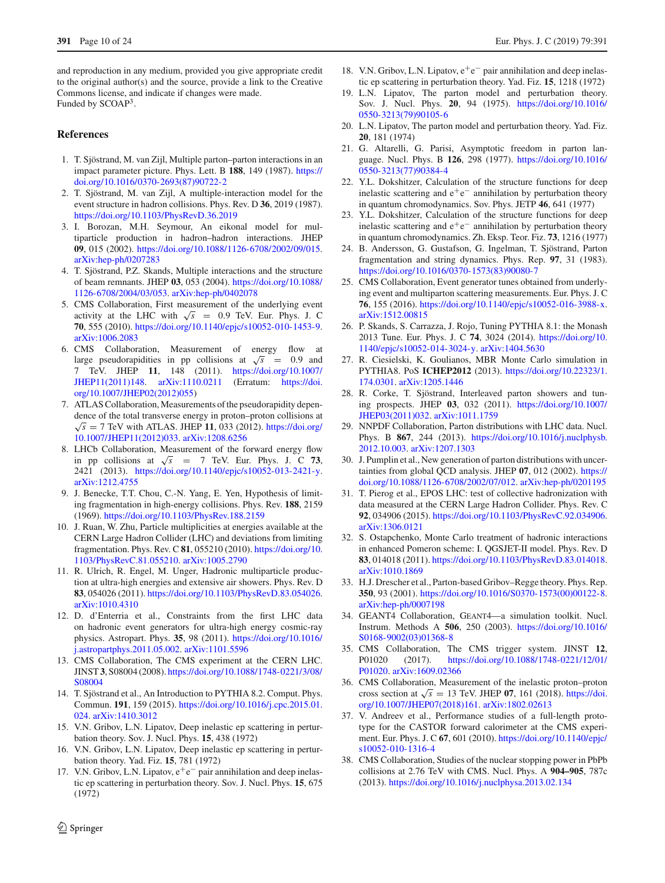and reproduction in any medium, provided you give appropriate credit to the original author(s) and the source, provide a link to the Creative Commons license, and indicate if changes were made. Funded by SCOAP3.

#### **References**

- <span id="page-9-0"></span>1. T. Sjöstrand, M. van Zijl, Multiple parton–parton interactions in an impact parameter picture. Phys. Lett. B **188**, 149 (1987). [https://](https://doi.org/10.1016/0370-2693(87)90722-2) [doi.org/10.1016/0370-2693\(87\)90722-2](https://doi.org/10.1016/0370-2693(87)90722-2)
- 2. T. Sjöstrand, M. van Zijl, A multiple-interaction model for the event structure in hadron collisions. Phys. Rev. D **36**, 2019 (1987). <https://doi.org/10.1103/PhysRevD.36.2019>
- 3. I. Borozan, M.H. Seymour, An eikonal model for multiparticle production in hadron–hadron interactions. JHEP **09**, 015 (2002). [https://doi.org/10.1088/1126-6708/2002/09/015.](https://doi.org/10.1088/1126-6708/2002/09/015) [arXiv:hep-ph/0207283](http://arxiv.org/abs/hep-ph/0207283)
- <span id="page-9-1"></span>4. T. Sjöstrand, P.Z. Skands, Multiple interactions and the structure of beam remnants. JHEP **03**, 053 (2004). [https://doi.org/10.1088/](https://doi.org/10.1088/1126-6708/2004/03/053) [1126-6708/2004/03/053.](https://doi.org/10.1088/1126-6708/2004/03/053) [arXiv:hep-ph/0402078](http://arxiv.org/abs/hep-ph/0402078)
- <span id="page-9-2"></span>5. CMS Collaboration, First measurement of the underlying event activity at the LHC with  $\sqrt{s}$  = 0.9 TeV. Eur. Phys. J. C **70**, 555 (2010). [https://doi.org/10.1140/epjc/s10052-010-1453-9.](https://doi.org/10.1140/epjc/s10052-010-1453-9) [arXiv:1006.2083](http://arxiv.org/abs/1006.2083)
- <span id="page-9-3"></span>6. CMS Collaboration, Measurement of energy flow at large pseudorapidities in pp collisions at  $\sqrt{s}$  = 0.9 and 7 TeV. JHEP **11**, 148 (2011). [https://doi.org/10.1007/](https://doi.org/10.1007/JHEP11(2011)148) [JHEP11\(2011\)148.](https://doi.org/10.1007/JHEP11(2011)148) [arXiv:1110.0211](http://arxiv.org/abs/1110.0211) (Erratum: [https://doi.](https://doi.org/10.1007/JHEP02(2012)055) [org/10.1007/JHEP02\(2012\)055\)](https://doi.org/10.1007/JHEP02(2012)055)
- <span id="page-9-4"></span>7. ATLAS Collaboration, Measurements of the pseudorapidity dependence of the total transverse energy in proton–proton collisions at  $\sqrt{s}$  = 7 TeV with ATLAS. JHEP 11, 033 (2012). [https://doi.org/](https://doi.org/10.1007/JHEP11(2012)033) [10.1007/JHEP11\(2012\)033.](https://doi.org/10.1007/JHEP11(2012)033) [arXiv:1208.6256](http://arxiv.org/abs/1208.6256)
- <span id="page-9-5"></span>8. LHCb Collaboration, Measurement of the forward energy flow in pp collisions at  $\sqrt{s}$  = 7 TeV. Eur. Phys. J. C 73, 2421 (2013). [https://doi.org/10.1140/epjc/s10052-013-2421-y.](https://doi.org/10.1140/epjc/s10052-013-2421-y) [arXiv:1212.4755](http://arxiv.org/abs/1212.4755)
- <span id="page-9-6"></span>9. J. Benecke, T.T. Chou, C.-N. Yang, E. Yen, Hypothesis of limiting fragmentation in high-energy collisions. Phys. Rev. **188**, 2159 (1969). <https://doi.org/10.1103/PhysRev.188.2159>
- <span id="page-9-7"></span>10. J. Ruan, W. Zhu, Particle multiplicities at energies available at the CERN Large Hadron Collider (LHC) and deviations from limiting fragmentation. Phys. Rev. C **81**, 055210 (2010). [https://doi.org/10.](https://doi.org/10.1103/PhysRevC.81.055210) [1103/PhysRevC.81.055210.](https://doi.org/10.1103/PhysRevC.81.055210) [arXiv:1005.2790](http://arxiv.org/abs/1005.2790)
- <span id="page-9-8"></span>11. R. Ulrich, R. Engel, M. Unger, Hadronic multiparticle production at ultra-high energies and extensive air showers. Phys. Rev. D **83**, 054026 (2011). [https://doi.org/10.1103/PhysRevD.83.054026.](https://doi.org/10.1103/PhysRevD.83.054026) [arXiv:1010.4310](http://arxiv.org/abs/1010.4310)
- <span id="page-9-9"></span>12. D. d'Enterria et al., Constraints from the first LHC data on hadronic event generators for ultra-high energy cosmic-ray physics. Astropart. Phys. **35**, 98 (2011). [https://doi.org/10.1016/](https://doi.org/10.1016/j.astropartphys.2011.05.002) [j.astropartphys.2011.05.002.](https://doi.org/10.1016/j.astropartphys.2011.05.002) [arXiv:1101.5596](http://arxiv.org/abs/1101.5596)
- <span id="page-9-10"></span>13. CMS Collaboration, The CMS experiment at the CERN LHC. JINST**3**, S08004 (2008). [https://doi.org/10.1088/1748-0221/3/08/](https://doi.org/10.1088/1748-0221/3/08/S08004) [S08004](https://doi.org/10.1088/1748-0221/3/08/S08004)
- <span id="page-9-11"></span>14. T. Sjöstrand et al., An Introduction to PYTHIA 8.2. Comput. Phys. Commun. **191**, 159 (2015). [https://doi.org/10.1016/j.cpc.2015.01.](https://doi.org/10.1016/j.cpc.2015.01.024) [024.](https://doi.org/10.1016/j.cpc.2015.01.024) [arXiv:1410.3012](http://arxiv.org/abs/1410.3012)
- <span id="page-9-12"></span>15. V.N. Gribov, L.N. Lipatov, Deep inelastic ep scattering in perturbation theory. Sov. J. Nucl. Phys. **15**, 438 (1972)
- 16. V.N. Gribov, L.N. Lipatov, Deep inelastic ep scattering in perturbation theory. Yad. Fiz. **15**, 781 (1972)
- 17. V.N. Gribov, L.N. Lipatov, e<sup>+</sup>e<sup>−</sup> pair annihilation and deep inelastic ep scattering in perturbation theory. Sov. J. Nucl. Phys. **15**, 675 (1972)
- 18. V.N. Gribov, L.N. Lipatov,  $e^+e^-$  pair annihilation and deep inelastic ep scattering in perturbation theory. Yad. Fiz. **15**, 1218 (1972)
- 19. L.N. Lipatov, The parton model and perturbation theory. Sov. J. Nucl. Phys. **20**, 94 (1975). [https://doi.org/10.1016/](https://doi.org/10.1016/0550-3213(79)90105-6) [0550-3213\(79\)90105-6](https://doi.org/10.1016/0550-3213(79)90105-6)
- 20. L.N. Lipatov, The parton model and perturbation theory. Yad. Fiz. **20**, 181 (1974)
- 21. G. Altarelli, G. Parisi, Asymptotic freedom in parton language. Nucl. Phys. B **126**, 298 (1977). [https://doi.org/10.1016/](https://doi.org/10.1016/0550-3213(77)90384-4) [0550-3213\(77\)90384-4](https://doi.org/10.1016/0550-3213(77)90384-4)
- 22. Y.L. Dokshitzer, Calculation of the structure functions for deep inelastic scattering and  $e^+e^-$  annihilation by perturbation theory in quantum chromodynamics. Sov. Phys. JETP **46**, 641 (1977)
- <span id="page-9-13"></span>23. Y.L. Dokshitzer, Calculation of the structure functions for deep inelastic scattering and  $e^+e^-$  annihilation by perturbation theory in quantum chromodynamics. Zh. Eksp. Teor. Fiz. **73**, 1216 (1977)
- <span id="page-9-14"></span>24. B. Andersson, G. Gustafson, G. Ingelman, T. Sjöstrand, Parton fragmentation and string dynamics. Phys. Rep. **97**, 31 (1983). [https://doi.org/10.1016/0370-1573\(83\)90080-7](https://doi.org/10.1016/0370-1573(83)90080-7)
- <span id="page-9-15"></span>25. CMS Collaboration, Event generator tunes obtained from underlying event and multiparton scattering measurements. Eur. Phys. J. C **76**, 155 (2016). [https://doi.org/10.1140/epjc/s10052-016-3988-x.](https://doi.org/10.1140/epjc/s10052-016-3988-x) [arXiv:1512.00815](http://arxiv.org/abs/1512.00815)
- <span id="page-9-16"></span>26. P. Skands, S. Carrazza, J. Rojo, Tuning PYTHIA 8.1: the Monash 2013 Tune. Eur. Phys. J. C **74**, 3024 (2014). [https://doi.org/10.](https://doi.org/10.1140/epjc/s10052-014-3024-y) [1140/epjc/s10052-014-3024-y.](https://doi.org/10.1140/epjc/s10052-014-3024-y) [arXiv:1404.5630](http://arxiv.org/abs/1404.5630)
- <span id="page-9-17"></span>27. R. Ciesielski, K. Goulianos, MBR Monte Carlo simulation in PYTHIA8. PoS **ICHEP2012** (2013). [https://doi.org/10.22323/1.](https://doi.org/10.22323/1.174.0301) [174.0301.](https://doi.org/10.22323/1.174.0301) [arXiv:1205.1446](http://arxiv.org/abs/1205.1446)
- <span id="page-9-18"></span>28. R. Corke, T. Sjöstrand, Interleaved parton showers and tuning prospects. JHEP **03**, 032 (2011). [https://doi.org/10.1007/](https://doi.org/10.1007/JHEP03(2011)032) [JHEP03\(2011\)032.](https://doi.org/10.1007/JHEP03(2011)032) [arXiv:1011.1759](http://arxiv.org/abs/1011.1759)
- <span id="page-9-19"></span>29. NNPDF Collaboration, Parton distributions with LHC data. Nucl. Phys. B **867**, 244 (2013). [https://doi.org/10.1016/j.nuclphysb.](https://doi.org/10.1016/j.nuclphysb.2012.10.003) [2012.10.003.](https://doi.org/10.1016/j.nuclphysb.2012.10.003) [arXiv:1207.1303](http://arxiv.org/abs/1207.1303)
- <span id="page-9-20"></span>30. J. Pumplin et al., New generation of parton distributions with uncertainties from global QCD analysis. JHEP **07**, 012 (2002). [https://](https://doi.org/10.1088/1126-6708/2002/07/012) [doi.org/10.1088/1126-6708/2002/07/012.](https://doi.org/10.1088/1126-6708/2002/07/012) [arXiv:hep-ph/0201195](http://arxiv.org/abs/hep-ph/0201195)
- <span id="page-9-21"></span>31. T. Pierog et al., EPOS LHC: test of collective hadronization with data measured at the CERN Large Hadron Collider. Phys. Rev. C **92**, 034906 (2015). [https://doi.org/10.1103/PhysRevC.92.034906.](https://doi.org/10.1103/PhysRevC.92.034906) [arXiv:1306.0121](http://arxiv.org/abs/1306.0121)
- <span id="page-9-22"></span>32. S. Ostapchenko, Monte Carlo treatment of hadronic interactions in enhanced Pomeron scheme: I. QGSJET-II model. Phys. Rev. D **83**, 014018 (2011). [https://doi.org/10.1103/PhysRevD.83.014018.](https://doi.org/10.1103/PhysRevD.83.014018) [arXiv:1010.1869](http://arxiv.org/abs/1010.1869)
- <span id="page-9-23"></span>33. H.J. Drescher et al., Parton-based Gribov–Regge theory. Phys. Rep. **350**, 93 (2001). [https://doi.org/10.1016/S0370-1573\(00\)00122-8.](https://doi.org/10.1016/S0370-1573(00)00122-8) [arXiv:hep-ph/0007198](http://arxiv.org/abs/hep-ph/0007198)
- <span id="page-9-24"></span>34. GEANT4 Collaboration, Geant4—a simulation toolkit. Nucl. Instrum. Methods A **506**, 250 (2003). [https://doi.org/10.1016/](https://doi.org/10.1016/S0168-9002(03)01368-8) [S0168-9002\(03\)01368-8](https://doi.org/10.1016/S0168-9002(03)01368-8)
- <span id="page-9-25"></span>35. CMS Collaboration, The CMS trigger system. JINST **12**, P01020 (2017). [https://doi.org/10.1088/1748-0221/12/01/](https://doi.org/10.1088/1748-0221/12/01/P01020) [P01020.](https://doi.org/10.1088/1748-0221/12/01/P01020) [arXiv:1609.02366](http://arxiv.org/abs/1609.02366)
- <span id="page-9-26"></span>36. CMS Collaboration, Measurement of the inelastic proton–proton cross section at  $\sqrt{s}$  = 13 TeV. JHEP 07, 161 (2018). [https://doi.](https://doi.org/10.1007/JHEP07(2018)161) [org/10.1007/JHEP07\(2018\)161.](https://doi.org/10.1007/JHEP07(2018)161) [arXiv:1802.02613](http://arxiv.org/abs/1802.02613)
- <span id="page-9-27"></span>37. V. Andreev et al., Performance studies of a full-length prototype for the CASTOR forward calorimeter at the CMS experiment. Eur. Phys. J. C **67**, 601 (2010). [https://doi.org/10.1140/epjc/](https://doi.org/10.1140/epjc/s10052-010-1316-4) [s10052-010-1316-4](https://doi.org/10.1140/epjc/s10052-010-1316-4)
- <span id="page-9-28"></span>38. CMS Collaboration, Studies of the nuclear stopping power in PbPb collisions at 2.76 TeV with CMS. Nucl. Phys. A **904–905**, 787c (2013). <https://doi.org/10.1016/j.nuclphysa.2013.02.134>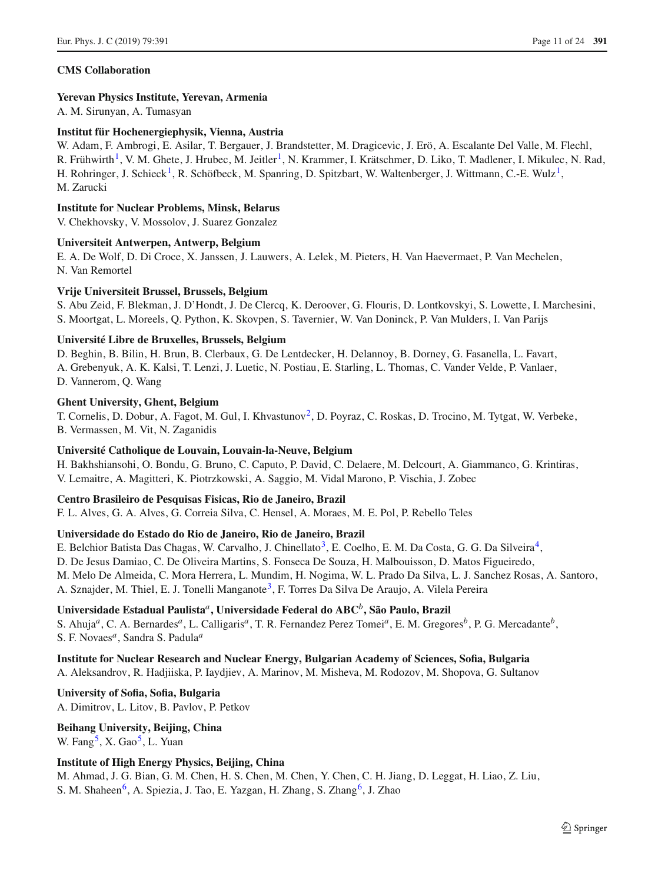## **CMS Collaboration**

#### **Yerevan Physics Institute, Yerevan, Armenia**

A. M. Sirunyan, A. Tumasyan

#### **Institut für Hochenergiephysik, Vienna, Austria**

W. Adam, F. Ambrogi, E. Asilar, T. Bergauer, J. Brandstetter, M. Dragicevic, J. Erö, A. Escalante Del Valle, M. Flechl, R. Frühwirth<sup>1</sup>, V. M. Ghete, J. Hrubec, M. Jeitler<sup>1</sup>, N. Krammer, I. Krätschmer, D. Liko, T. Madlener, I. Mikulec, N. Rad, H. Rohringer, J. Schieck<sup>1</sup>, R. Schöfbeck, M. Spanring, D. Spitzbart, W. Waltenberger, J. Wittmann, C.-E. Wulz<sup>1</sup>, M. Zarucki

#### **Institute for Nuclear Problems, Minsk, Belarus**

V. Chekhovsky, V. Mossolov, J. Suarez Gonzalez

#### **Universiteit Antwerpen, Antwerp, Belgium**

E. A. De Wolf, D. Di Croce, X. Janssen, J. Lauwers, A. Lelek, M. Pieters, H. Van Haevermaet, P. Van Mechelen, N. Van Remortel

#### **Vrije Universiteit Brussel, Brussels, Belgium**

S. Abu Zeid, F. Blekman, J. D'Hondt, J. De Clercq, K. Deroover, G. Flouris, D. Lontkovskyi, S. Lowette, I. Marchesini, S. Moortgat, L. Moreels, Q. Python, K. Skovpen, S. Tavernier, W. Van Doninck, P. Van Mulders, I. Van Parijs

## **Université Libre de Bruxelles, Brussels, Belgium**

D. Beghin, B. Bilin, H. Brun, B. Clerbaux, G. De Lentdecker, H. Delannoy, B. Dorney, G. Fasanella, L. Favart, A. Grebenyuk, A. K. Kalsi, T. Lenzi, J. Luetic, N. Postiau, E. Starling, L. Thomas, C. Vander Velde, P. Vanlaer, D. Vannerom, Q. Wang

#### **Ghent University, Ghent, Belgium**

T. Cornelis, D. Dobur, A. Fagot, M. Gul, I. Khvastunov<sup>2</sup>, D. Poyraz, C. Roskas, D. Trocino, M. Tytgat, W. Verbeke, B. Vermassen, M. Vit, N. Zaganidis

#### **Université Catholique de Louvain, Louvain-la-Neuve, Belgium**

H. Bakhshiansohi, O. Bondu, G. Bruno, C. Caputo, P. David, C. Delaere, M. Delcourt, A. Giammanco, G. Krintiras, V. Lemaitre, A. Magitteri, K. Piotrzkowski, A. Saggio, M. Vidal Marono, P. Vischia, J. Zobec

#### **Centro Brasileiro de Pesquisas Fisicas, Rio de Janeiro, Brazil**

F. L. Alves, G. A. Alves, G. Correia Silva, C. Hensel, A. Moraes, M. E. Pol, P. Rebello Teles

#### **Universidade do Estado do Rio de Janeiro, Rio de Janeiro, Brazil**

E. Belchior Batista Das Chagas, W. Carvalho, J. Chinellato<sup>3</sup>, E. Coelho, E. M. Da Costa, G. G. Da Silveira<sup>4</sup>,

D. De Jesus Damiao, C. De Oliveira Martins, S. Fonseca De Souza, H. Malbouisson, D. Matos Figueiredo,

M. Melo De Almeida, C. Mora Herrera, L. Mundim, H. Nogima, W. L. Prado Da Silva, L. J. Sanchez Rosas, A. Santoro,

A. Sznajder, M. Thiel, E. J. Tonelli Manganote<sup>3</sup>, F. Torres Da Silva De Araujo, A. Vilela Pereira

## **Universidade Estadual Paulista***a***, Universidade Federal do ABC***b***, São Paulo, Brazil**

S. Ahuja*a*, C. A. Bernardes*a*, L. Calligaris*a*, T. R. Fernandez Perez Tomei*a*, E. M. Gregores*b*, P. G. Mercadante*b*, S. F. Novaes*a*, Sandra S. Padula*<sup>a</sup>*

#### **Institute for Nuclear Research and Nuclear Energy, Bulgarian Academy of Sciences, Sofia, Bulgaria**

A. Aleksandrov, R. Hadjiiska, P. Iaydjiev, A. Marinov, M. Misheva, M. Rodozov, M. Shopova, G. Sultanov

**University of Sofia, Sofia, Bulgaria** A. Dimitrov, L. Litov, B. Pavlov, P. Petkov

**Beihang University, Beijing, China** W. Fang<sup>5</sup>, X. Gao<sup>5</sup>, L. Yuan

#### **Institute of High Energy Physics, Beijing, China**

M. Ahmad, J. G. Bian, G. M. Chen, H. S. Chen, M. Chen, Y. Chen, C. H. Jiang, D. Leggat, H. Liao, Z. Liu, S. M. Shaheen<sup>6</sup>, A. Spiezia, J. Tao, E. Yazgan, H. Zhang, S. Zhang<sup>6</sup>, J. Zhao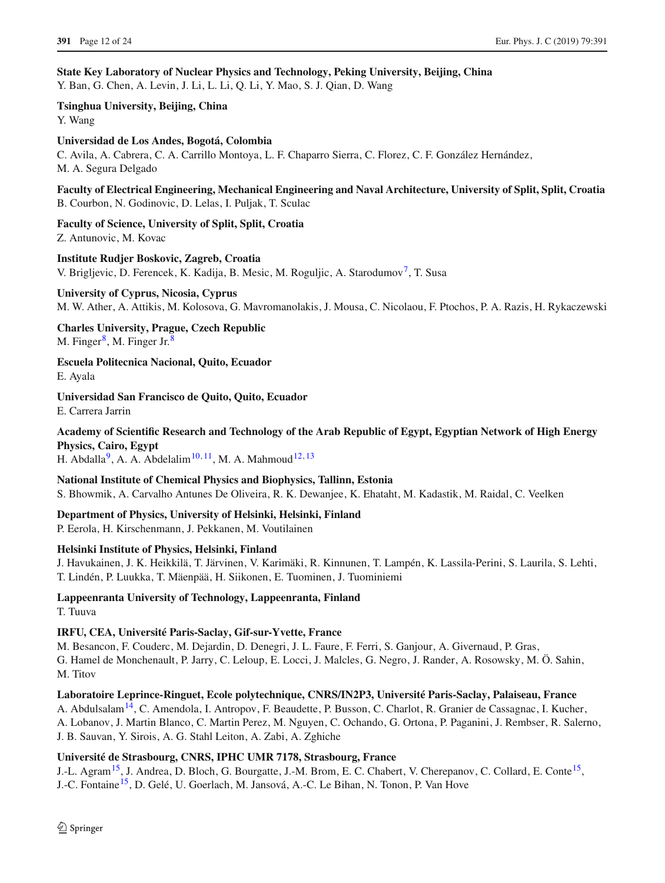## **State Key Laboratory of Nuclear Physics and Technology, Peking University, Beijing, China** Y. Ban, G. Chen, A. Levin, J. Li, L. Li, Q. Li, Y. Mao, S. J. Qian, D. Wang

# **Tsinghua University, Beijing, China**

Y. Wang

## **Universidad de Los Andes, Bogotá, Colombia**

C. Avila, A. Cabrera, C. A. Carrillo Montoya, L. F. Chaparro Sierra, C. Florez, C. F. González Hernández, M. A. Segura Delgado

**Faculty of Electrical Engineering, Mechanical Engineering and Naval Architecture, University of Split, Split, Croatia** B. Courbon, N. Godinovic, D. Lelas, I. Puljak, T. Sculac

**Faculty of Science, University of Split, Split, Croatia** Z. Antunovic, M. Kovac

## **Institute Rudjer Boskovic, Zagreb, Croatia**

V. Brigljevic, D. Ferencek, K. Kadija, B. Mesic, M. Roguljic, A. Starodumov<sup>7</sup>, T. Susa

**University of Cyprus, Nicosia, Cyprus** M. W. Ather, A. Attikis, M. Kolosova, G. Mavromanolakis, J. Mousa, C. Nicolaou, F. Ptochos, P. A. Razis, H. Rykaczewski

# **Charles University, Prague, Czech Republic**

M. Finger  $\text{S}$ , M. Finger Jr. $\text{S}$ 

**Escuela Politecnica Nacional, Quito, Ecuador** E. Ayala

**Universidad San Francisco de Quito, Quito, Ecuador** E. Carrera Jarrin

#### **Academy of Scientific Research and Technology of the Arab Republic of Egypt, Egyptian Network of High Energy Physics, Cairo, Egypt** H. Abdalla<sup>9</sup>, A. A. Abdelalim<sup>10,11</sup>, M. A. Mahmoud<sup>12,[13](#page-22-12)</sup>

**National Institute of Chemical Physics and Biophysics, Tallinn, Estonia**

S. Bhowmik, A. Carvalho Antunes De Oliveira, R. K. Dewanjee, K. Ehataht, M. Kadastik, M. Raidal, C. Veelken

## **Department of Physics, University of Helsinki, Helsinki, Finland**

P. Eerola, H. Kirschenmann, J. Pekkanen, M. Voutilainen

#### **Helsinki Institute of Physics, Helsinki, Finland**

J. Havukainen, J. K. Heikkilä, T. Järvinen, V. Karimäki, R. Kinnunen, T. Lampén, K. Lassila-Perini, S. Laurila, S. Lehti, T. Lindén, P. Luukka, T. Mäenpää, H. Siikonen, E. Tuominen, J. Tuominiemi

**Lappeenranta University of Technology, Lappeenranta, Finland** T. Tuuva

#### **IRFU, CEA, Université Paris-Saclay, Gif-sur-Yvette, France**

M. Besancon, F. Couderc, M. Dejardin, D. Denegri, J. L. Faure, F. Ferri, S. Ganjour, A. Givernaud, P. Gras, G. Hamel de Monchenault, P. Jarry, C. Leloup, E. Locci, J. Malcles, G. Negro, J. Rander, A. Rosowsky, M. Ö. Sahin, M. Titov

#### **Laboratoire Leprince-Ringuet, Ecole polytechnique, CNRS/IN2P3, Université Paris-Saclay, Palaiseau, France**

A. Abdulsalam[14,](#page-22-13) C. Amendola, I. Antropov, F. Beaudette, P. Busson, C. Charlot, R. Granier de Cassagnac, I. Kucher, A. Lobanov, J. Martin Blanco, C. Martin Perez, M. Nguyen, C. Ochando, G. Ortona, P. Paganini, J. Rembser, R. Salerno, J. B. Sauvan, Y. Sirois, A. G. Stahl Leiton, A. Zabi, A. Zghiche

## **Université de Strasbourg, CNRS, IPHC UMR 7178, Strasbourg, France**

J.-L. Agram<sup>15</sup>, J. Andrea, D. Bloch, G. Bourgatte, J.-M. Brom, E. C. Chabert, V. Cherepanov, C. Collard, E. Conte<sup>15</sup>, J.-C. Fontaine<sup>15</sup>, D. Gelé, U. Goerlach, M. Jansová, A.-C. Le Bihan, N. Tonon, P. Van Hove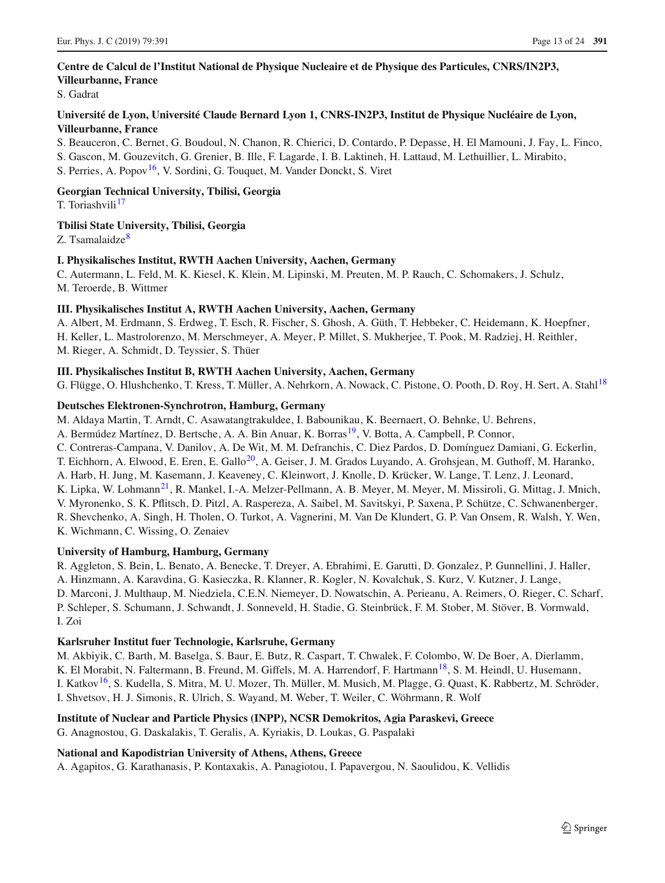#### **Centre de Calcul de l'Institut National de Physique Nucleaire et de Physique des Particules, CNRS/IN2P3, Villeurbanne, France**

S. Gadrat

#### **Université de Lyon, Université Claude Bernard Lyon 1, CNRS-IN2P3, Institut de Physique Nucléaire de Lyon, Villeurbanne, France**

S. Beauceron, C. Bernet, G. Boudoul, N. Chanon, R. Chierici, D. Contardo, P. Depasse, H. El Mamouni, J. Fay, L. Finco, S. Gascon, M. Gouzevitch, G. Grenier, B. Ille, F. Lagarde, I. B. Laktineh, H. Lattaud, M. Lethuillier, L. Mirabito,

S. Perries, A. Popov<sup>16</sup>, V. Sordini, G. Touquet, M. Vander Donckt, S. Viret

## **Georgian Technical University, Tbilisi, Georgia**

T. Toriashvili<sup>[17](#page-22-16)</sup>

## **Tbilisi State University, Tbilisi, Georgia**

Z. Tsamalaidze $8$ 

#### **I. Physikalisches Institut, RWTH Aachen University, Aachen, Germany**

C. Autermann, L. Feld, M. K. Kiesel, K. Klein, M. Lipinski, M. Preuten, M. P. Rauch, C. Schomakers, J. Schulz, M. Teroerde, B. Wittmer

#### **III. Physikalisches Institut A, RWTH Aachen University, Aachen, Germany**

A. Albert, M. Erdmann, S. Erdweg, T. Esch, R. Fischer, S. Ghosh, A. Güth, T. Hebbeker, C. Heidemann, K. Hoepfner, H. Keller, L. Mastrolorenzo, M. Merschmeyer, A. Meyer, P. Millet, S. Mukherjee, T. Pook, M. Radziej, H. Reithler, M. Rieger, A. Schmidt, D. Teyssier, S. Thüer

#### **III. Physikalisches Institut B, RWTH Aachen University, Aachen, Germany**

G. Flügge, O. Hlushchenko, T. Kress, T. Müller, A. Nehrkorn, A. Nowack, C. Pistone, O. Pooth, D. Roy, H. Sert, A. Stahl<sup>[18](#page-22-17)</sup>

#### **Deutsches Elektronen-Synchrotron, Hamburg, Germany**

M. Aldaya Martin, T. Arndt, C. Asawatangtrakuldee, I. Babounikau, K. Beernaert, O. Behnke, U. Behrens,

A. Bermúdez Martínez, D. Bertsche, A. A. Bin Anuar, K. Borras<sup>19</sup>, V. Botta, A. Campbell, P. Connor,

C. Contreras-Campana, V. Danilov, A. De Wit, M. M. Defranchis, C. Diez Pardos, D. Domínguez Damiani, G. Eckerlin,

T. Eichhorn, A. Elwood, E. Eren, E. Gallo<sup>20</sup>, A. Geiser, J. M. Grados Luyando, A. Grohsjean, M. Guthoff, M. Haranko,

A. Harb, H. Jung, M. Kasemann, J. Keaveney, C. Kleinwort, J. Knolle, D. Krücker, W. Lange, T. Lenz, J. Leonard,

K. Lipka, W. Lohmann<sup>21</sup>, R. Mankel, I.-A. Melzer-Pellmann, A. B. Meyer, M. Meyer, M. Missiroli, G. Mittag, J. Mnich,

V. Myronenko, S. K. Pflitsch, D. Pitzl, A. Raspereza, A. Saibel, M. Savitskyi, P. Saxena, P. Schütze, C. Schwanenberger,

R. Shevchenko, A. Singh, H. Tholen, O. Turkot, A. Vagnerini, M. Van De Klundert, G. P. Van Onsem, R. Walsh, Y. Wen,

K. Wichmann, C. Wissing, O. Zenaiev

#### **University of Hamburg, Hamburg, Germany**

R. Aggleton, S. Bein, L. Benato, A. Benecke, T. Dreyer, A. Ebrahimi, E. Garutti, D. Gonzalez, P. Gunnellini, J. Haller, A. Hinzmann, A. Karavdina, G. Kasieczka, R. Klanner, R. Kogler, N. Kovalchuk, S. Kurz, V. Kutzner, J. Lange, D. Marconi, J. Multhaup, M. Niedziela, C.E.N. Niemeyer, D. Nowatschin, A. Perieanu, A. Reimers, O. Rieger, C. Scharf, P. Schleper, S. Schumann, J. Schwandt, J. Sonneveld, H. Stadie, G. Steinbrück, F. M. Stober, M. Stöver, B. Vormwald, I. Zoi

#### **Karlsruher Institut fuer Technologie, Karlsruhe, Germany**

M. Akbiyik, C. Barth, M. Baselga, S. Baur, E. Butz, R. Caspart, T. Chwalek, F. Colombo, W. De Boer, A. Dierlamm, K. El Morabit, N. Faltermann, B. Freund, M. Giffels, M. A. Harrendorf, F. Hartmann<sup>18</sup>, S. M. Heindl, U. Husemann, I. Katkov<sup>16</sup>, S. Kudella, S. Mitra, M. U. Mozer, Th. Müller, M. Musich, M. Plagge, G. Quast, K. Rabbertz, M. Schröder, I. Shvetsov, H. J. Simonis, R. Ulrich, S. Wayand, M. Weber, T. Weiler, C. Wöhrmann, R. Wolf

## **Institute of Nuclear and Particle Physics (INPP), NCSR Demokritos, Agia Paraskevi, Greece**

G. Anagnostou, G. Daskalakis, T. Geralis, A. Kyriakis, D. Loukas, G. Paspalaki

#### **National and Kapodistrian University of Athens, Athens, Greece**

A. Agapitos, G. Karathanasis, P. Kontaxakis, A. Panagiotou, I. Papavergou, N. Saoulidou, K. Vellidis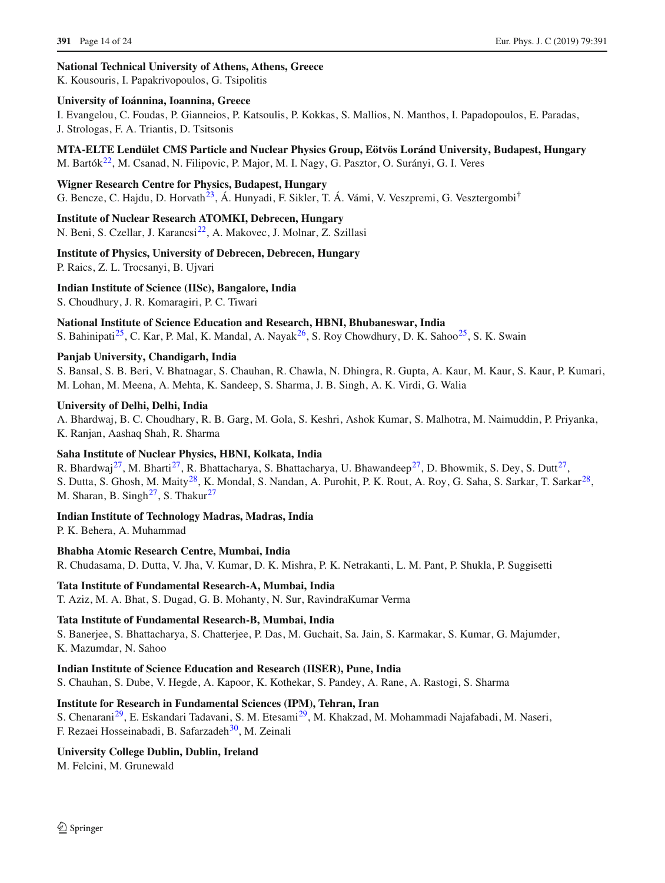## **National Technical University of Athens, Athens, Greece**

K. Kousouris, I. Papakrivopoulos, G. Tsipolitis

#### **University of Ioánnina, Ioannina, Greece**

I. Evangelou, C. Foudas, P. Gianneios, P. Katsoulis, P. Kokkas, S. Mallios, N. Manthos, I. Papadopoulos, E. Paradas, J. Strologas, F. A. Triantis, D. Tsitsonis

**MTA-ELTE Lendület CMS Particle and Nuclear Physics Group, Eötvös Loránd University, Budapest, Hungary**

M. Bartók<sup>22</sup>, M. Csanad, N. Filipovic, P. Major, M. I. Nagy, G. Pasztor, O. Surányi, G. I. Veres

## **Wigner Research Centre for Physics, Budapest, Hungary**

G. Bencze, C. Hajdu, D. Horvath<sup>23</sup>, Á. Hunyadi, F. Sikler, T. Á. Vámi, V. Veszpremi, G. Vesztergombi<sup>†</sup>

## **Institute of Nuclear Research ATOMKI, Debrecen, Hungary**

N. Beni, S. Czellar, J. Karancsi<sup>22</sup>, A. Makovec, J. Molnar, Z. Szillasi

## **Institute of Physics, University of Debrecen, Debrecen, Hungary**

P. Raics, Z. L. Trocsanyi, B. Ujvari

**Indian Institute of Science (IISc), Bangalore, India**

S. Choudhury, J. R. Komaragiri, P. C. Tiwari

## **National Institute of Science Education and Research, HBNI, Bhubaneswar, India**

S. Bahinipati<sup>25</sup>, C. Kar, P. Mal, K. Mandal, A. Nayak<sup>26</sup>, S. Roy Chowdhury, D. K. Sahoo<sup>25</sup>, S. K. Swain

## **Panjab University, Chandigarh, India**

S. Bansal, S. B. Beri, V. Bhatnagar, S. Chauhan, R. Chawla, N. Dhingra, R. Gupta, A. Kaur, M. Kaur, S. Kaur, P. Kumari, M. Lohan, M. Meena, A. Mehta, K. Sandeep, S. Sharma, J. B. Singh, A. K. Virdi, G. Walia

#### **University of Delhi, Delhi, India**

A. Bhardwaj, B. C. Choudhary, R. B. Garg, M. Gola, S. Keshri, Ashok Kumar, S. Malhotra, M. Naimuddin, P. Priyanka, K. Ranjan, Aashaq Shah, R. Sharma

## **Saha Institute of Nuclear Physics, HBNI, Kolkata, India**

R. Bhardwaj<sup>27</sup>, M. Bharti<sup>27</sup>, R. Bhattacharya, S. Bhattacharya, U. Bhawandeep<sup>27</sup>, D. Bhowmik, S. Dey, S. Dutt<sup>27</sup>, S. Dutta, S. Ghosh, M. Maity<sup>28</sup>, K. Mondal, S. Nandan, A. Purohit, P. K. Rout, A. Roy, G. Saha, S. Sarkar, T. Sarkar<sup>28</sup>, M. Sharan, B. Singh<sup>27</sup>, S. Thakur<sup>27</sup>

#### **Indian Institute of Technology Madras, Madras, India**

P. K. Behera, A. Muhammad

#### **Bhabha Atomic Research Centre, Mumbai, India**

R. Chudasama, D. Dutta, V. Jha, V. Kumar, D. K. Mishra, P. K. Netrakanti, L. M. Pant, P. Shukla, P. Suggisetti

#### **Tata Institute of Fundamental Research-A, Mumbai, India**

T. Aziz, M. A. Bhat, S. Dugad, G. B. Mohanty, N. Sur, RavindraKumar Verma

#### **Tata Institute of Fundamental Research-B, Mumbai, India**

S. Banerjee, S. Bhattacharya, S. Chatterjee, P. Das, M. Guchait, Sa. Jain, S. Karmakar, S. Kumar, G. Majumder, K. Mazumdar, N. Sahoo

#### **Indian Institute of Science Education and Research (IISER), Pune, India**

S. Chauhan, S. Dube, V. Hegde, A. Kapoor, K. Kothekar, S. Pandey, A. Rane, A. Rastogi, S. Sharma

#### **Institute for Research in Fundamental Sciences (IPM), Tehran, Iran**

S. Chenarani<sup>29</sup>, E. Eskandari Tadavani, S. M. Etesami<sup>29</sup>, M. Khakzad, M. Mohammadi Najafabadi, M. Naseri, F. Rezaei Hosseinabadi, B. Safarzadeh<sup>30</sup>, M. Zeinali

#### **University College Dublin, Dublin, Ireland**

M. Felcini, M. Grunewald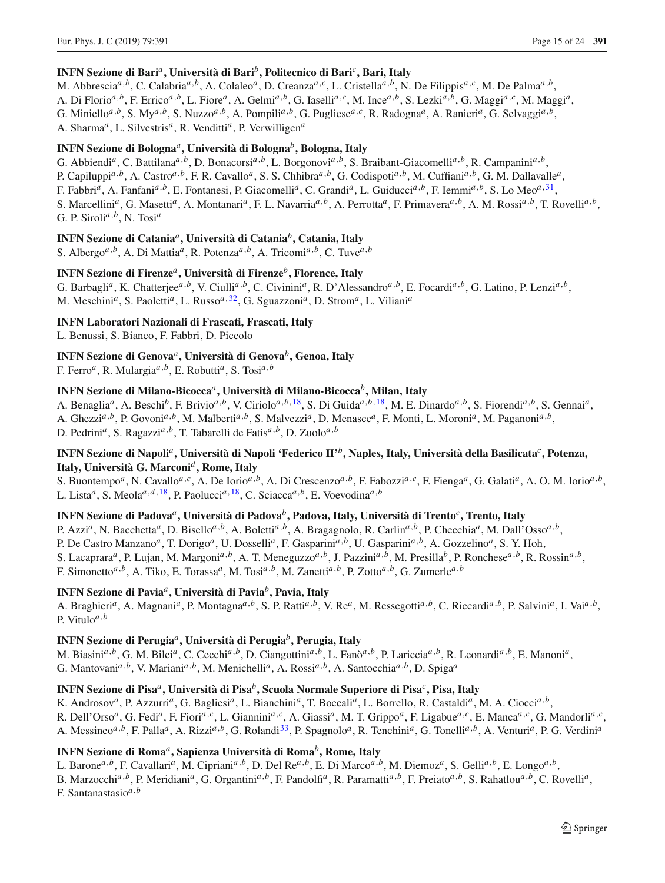## **INFN Sezione di Bari***a***, Università di Bari***b***, Politecnico di Bari***c***, Bari, Italy**

M. Abbrescia*a*,*b*, C. Calabria*a*,*b*, A. Colaleo*a*, D. Creanza*a*,*c*, L. Cristella*a*,*b*, N. De Filippis*a*,*c*, M. De Palma*a*,*b*, A. Di Florio<sup>a,b</sup>, F. Errico<sup>a,b</sup>, L. Fiore<sup>a</sup>, A. Gelmi<sup>a,b</sup>, G. Iaselli<sup>a,c</sup>, M. Ince<sup>a,b</sup>, S. Lezki<sup>a,b</sup>, G. Maggi<sup>a,c</sup>, M. Maggi<sup>a</sup>, G. Miniello<sup>*a*,*b*</sup>, S. My<sup>*a*,*b*</sup>, S. Nuzzo<sup>*a*,*b*</sup>, A. Pompili<sup>*a*,*b*</sup>, G. Pugliese<sup>*a*,*c*</sup>, R. Radogna<sup>*a*</sup>, A. Ranieri<sup>*a*</sup>, G. Selvaggi<sup>*a*,*b*</sup>, A. Sharma*a*, L. Silvestris*a*, R. Venditti*a*, P. Verwilligen*<sup>a</sup>*

## **INFN Sezione di Bologna***a***, Università di Bologna***b***, Bologna, Italy**

G. Abbiendi*a*, C. Battilana*a*,*b*, D. Bonacorsi*a*,*b*, L. Borgonovi*a*,*b*, S. Braibant-Giacomelli*a*,*b*, R. Campanini*a*,*b*, P. Capiluppi*a*,*b*, A. Castro*a*,*b*, F. R. Cavallo*a*, S. S. Chhibra*a*,*b*, G. Codispoti*a*,*b*, M. Cuffiani*a*,*b*, G. M. Dallavalle*a*, F. Fabbri*a*, A. Fanfani*a*,*b*, E. Fontanesi, P. Giacomelli*a*, C. Grandi*a*, L. Guiducci*a*,*b*, F. Iemmi*a*,*b*, S. Lo Meo*a*,[31,](#page-22-29) S. Marcellini*a*, G. Masetti*a*, A. Montanari*a*, F. L. Navarria*a*,*b*, A. Perrotta*a*, F. Primavera*a*,*b*, A. M. Rossi*a*,*b*, T. Rovelli*a*,*b*, G. P. Siroli*a*,*b*, N. Tosi*<sup>a</sup>*

## **INFN Sezione di Catania***a***, Università di Catania***b***, Catania, Italy**

S. Albergo<sup>*a*,*b*</sup>, A. Di Mattia<sup>*a*</sup>, R. Potenza<sup>*a*,*b*</sup>, A. Tricomi<sup>*a*,*b*</sup>, C. Tuve<sup>*a*,*b*</sup>

## **INFN Sezione di Firenze***a***, Università di Firenze***b***, Florence, Italy**

G. Barbagli*a*, K. Chatterjee*a*,*b*, V. Ciulli*a*,*b*, C. Civinini*a*, R. D'Alessandro*a*,*b*, E. Focardi*a*,*b*, G. Latino, P. Lenzi*a*,*b*, M. Meschini*a*, S. Paoletti*a*, L. Russo*a*,[32,](#page-22-30) G. Sguazzoni*<sup>a</sup>*, D. Strom*a*, L. Viliani*<sup>a</sup>*

## **INFN Laboratori Nazionali di Frascati, Frascati, Italy**

L. Benussi, S. Bianco, F. Fabbri, D. Piccolo

**INFN Sezione di Genova***a***, Università di Genova***b***, Genoa, Italy**

F. Ferro*a*, R. Mulargia*a*,*b*, E. Robutti*a*, S. Tosi*a*,*<sup>b</sup>*

## **INFN Sezione di Milano-Bicocca***a***, Università di Milano-Bicocca***b***, Milan, Italy**

A. Benaglia*a*, A. Beschi*b*, F. Brivio*a*,*b*, V. Ciriolo*a*,*b*,[18,](#page-22-17) S. Di Guida*<sup>a</sup>*,*b*,[18,](#page-22-17) M. E. Dinardo*<sup>a</sup>*,*b*, S. Fiorendi*a*,*b*, S. Gennai*a*, A. Ghezzi*a*,*b*, P. Govoni*a*,*b*, M. Malberti*a*,*b*, S. Malvezzi*a*, D. Menasce*a*, F. Monti, L. Moroni*a*, M. Paganoni*a*,*b*, D. Pedrini*a*, S. Ragazzi*a*,*b*, T. Tabarelli de Fatis*a*,*b*, D. Zuolo*a*,*<sup>b</sup>*

## **INFN Sezione di Napoli***a***, Università di Napoli 'Federico II'***b***, Naples, Italy, Università della Basilicata***c***, Potenza, Italy, Università G. Marconi***<sup>d</sup>* **, Rome, Italy**

S. Buontempo*a*, N. Cavallo*a*,*c*, A. De Iorio*a*,*b*, A. Di Crescenzo*a*,*b*, F. Fabozzi*a*,*c*, F. Fienga*a*, G. Galati*a*, A. O. M. Iorio*a*,*b*, L. Lista<sup>*a*</sup>, S. Meola<sup>*a*,*d*, 18</sup>, P. Paolucci<sup>*a*, 18</sup>, C. Sciacca<sup>*a*,*b*</sup>, E. Voevodina<sup>*a*,*b*</sup>

## **INFN Sezione di Padova***a***, Università di Padova***b***, Padova, Italy, Università di Trento***c***, Trento, Italy**

P. Azzi*a*, N. Bacchetta*a*, D. Bisello*a*,*b*, A. Boletti*a*,*b*, A. Bragagnolo, R. Carlin*a*,*b*, P. Checchia*a*, M. Dall'Osso*a*,*b*, P. De Castro Manzano*a*, T. Dorigo*a*, U. Dosselli*a*, F. Gasparini*a*,*b*, U. Gasparini*a*,*b*, A. Gozzelino*a*, S. Y. Hoh, S. Lacaprara*a*, P. Lujan, M. Margoni*a*,*b*, A. T. Meneguzzo*a*,*b*, J. Pazzini*a*,*b*, M. Presilla*b*, P. Ronchese*a*,*b*, R. Rossin*a*,*b*, F. Simonetto*a*,*b*, A. Tiko, E. Torassa*a*, M. Tosi*a*,*b*, M. Zanetti*a*,*b*, P. Zotto*a*,*b*, G. Zumerle*a*,*<sup>b</sup>*

## **INFN Sezione di Pavia***a***, Università di Pavia***b***, Pavia, Italy**

A. Braghieri*a*, A. Magnani*a*, P. Montagna*a*,*b*, S. P. Ratti*a*,*b*, V. Re*a*, M. Ressegotti*a*,*b*, C. Riccardi*a*,*b*, P. Salvini*a*, I. Vai*a*,*b*, P. Vitulo*a*,*<sup>b</sup>*

## **INFN Sezione di Perugia***a***, Università di Perugia***b***, Perugia, Italy**

M. Biasini*a*,*b*, G. M. Bilei*a*, C. Cecchi*a*,*b*, D. Ciangottini*a*,*b*, L. Fanò*a*,*b*, P. Lariccia*a*,*b*, R. Leonardi*a*,*b*, E. Manoni*a*, G. Mantovani*a*,*b*, V. Mariani*a*,*b*, M. Menichelli*a*, A. Rossi*a*,*b*, A. Santocchia*a*,*b*, D. Spiga*<sup>a</sup>*

#### **INFN Sezione di Pisa***a***, Università di Pisa***b***, Scuola Normale Superiore di Pisa***c***, Pisa, Italy**

K. Androsov*a*, P. Azzurri*a*, G. Bagliesi*a*, L. Bianchini*a*, T. Boccali*a*, L. Borrello, R. Castaldi*a*, M. A. Ciocci*a*,*b*, R. Dell'Orso*a*, G. Fedi*a*, F. Fiori*a*,*c*, L. Giannini*a*,*c*, A. Giassi*a*, M. T. Grippo*a*, F. Ligabue*a*,*c*, E. Manca*a*,*c*, G. Mandorli*a*,*c*, A. Messineo*a*,*b*, F. Palla*a*, A. Rizzi*a*,*b*, G. Rolandi[33,](#page-22-31) P. Spagnolo*<sup>a</sup>*, R. Tenchini*a*, G. Tonelli*a*,*b*, A. Venturi*a*, P. G. Verdini*<sup>a</sup>*

## **INFN Sezione di Roma***a***, Sapienza Università di Roma***b***, Rome, Italy**

L. Barone*a*,*b*, F. Cavallari*a*, M. Cipriani*a*,*b*, D. Del Re*a*,*b*, E. Di Marco*a*,*b*, M. Diemoz*a*, S. Gelli*a*,*b*, E. Longo*a*,*b*,

B. Marzocchi*a*,*b*, P. Meridiani*a*, G. Organtini*a*,*b*, F. Pandolfi*a*, R. Paramatti*a*,*b*, F. Preiato*a*,*b*, S. Rahatlou*a*,*b*, C. Rovelli*a*, F. Santanastasio*a*,*<sup>b</sup>*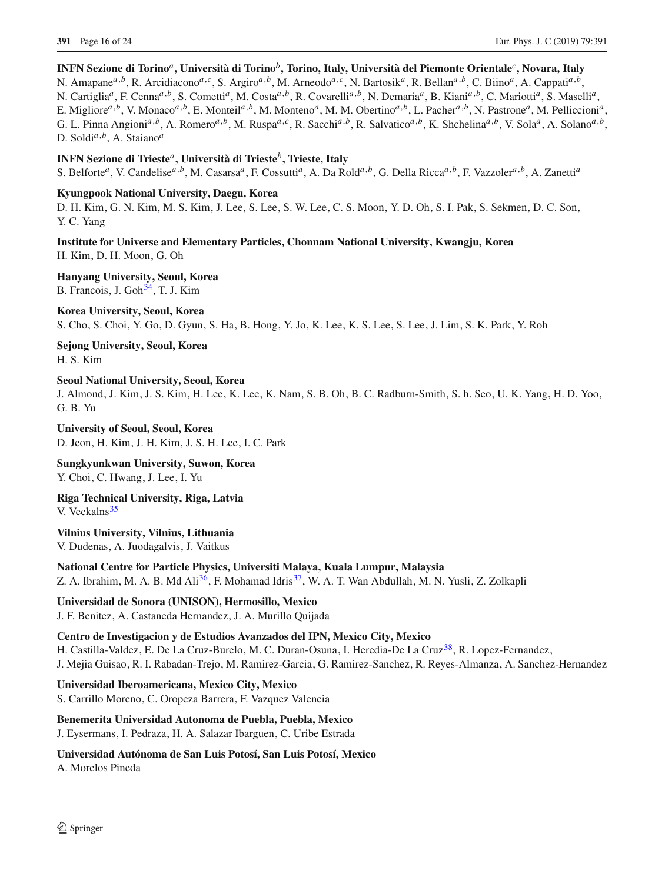#### **INFN Sezione di Torino***a***, Università di Torino***b***, Torino, Italy, Università del Piemonte Orientale***c***, Novara, Italy**

N. Amapane*a*,*b*, R. Arcidiacono*a*,*c*, S. Argiro*a*,*b*, M. Arneodo*a*,*c*, N. Bartosik*a*, R. Bellan*a*,*b*, C. Biino*a*, A. Cappati*a*,*b*, N. Cartiglia*a*, F. Cenna*a*,*b*, S. Cometti*a*, M. Costa*a*,*b*, R. Covarelli*a*,*b*, N. Demaria*a*, B. Kiani*a*,*b*, C. Mariotti*a*, S. Maselli*a*, E. Migliore*a*,*b*, V. Monaco*a*,*b*, E. Monteil*a*,*b*, M. Monteno*a*, M. M. Obertino*a*,*b*, L. Pacher*a*,*b*, N. Pastrone*a*, M. Pelliccioni*a*, G. L. Pinna Angioni<sup>a, b</sup>, A. Romero<sup>a, b</sup>, M. Ruspa<sup>a, c</sup>, R. Sacchi<sup>a, b</sup>, R. Salvatico<sup>a, b</sup>, K. Shchelina<sup>a, b</sup>, V. Sola<sup>a</sup>, A. Solano<sup>a, b</sup>, D. Soldi*a*,*b*, A. Staiano*<sup>a</sup>*

## **INFN Sezione di Trieste***a***, Università di Trieste***b***, Trieste, Italy**

S. Belforte*a*, V. Candelise*a*,*b*, M. Casarsa*a*, F. Cossutti*a*, A. Da Rold*a*,*b*, G. Della Ricca*a*,*b*, F. Vazzoler*a*,*b*, A. Zanetti*<sup>a</sup>*

## **Kyungpook National University, Daegu, Korea**

D. H. Kim, G. N. Kim, M. S. Kim, J. Lee, S. Lee, S. W. Lee, C. S. Moon, Y. D. Oh, S. I. Pak, S. Sekmen, D. C. Son, Y. C. Yang

**Institute for Universe and Elementary Particles, Chonnam National University, Kwangju, Korea** H. Kim, D. H. Moon, G. Oh

**Hanyang University, Seoul, Korea** B. Francois, J.  $Goh<sup>34</sup>$ , T. J. Kim

## **Korea University, Seoul, Korea** S. Cho, S. Choi, Y. Go, D. Gyun, S. Ha, B. Hong, Y. Jo, K. Lee, K. S. Lee, S. Lee, J. Lim, S. K. Park, Y. Roh

**Sejong University, Seoul, Korea** H. S. Kim

**Seoul National University, Seoul, Korea**

J. Almond, J. Kim, J. S. Kim, H. Lee, K. Lee, K. Nam, S. B. Oh, B. C. Radburn-Smith, S. h. Seo, U. K. Yang, H. D. Yoo, G. B. Yu

**University of Seoul, Seoul, Korea** D. Jeon, H. Kim, J. H. Kim, J. S. H. Lee, I. C. Park

**Sungkyunkwan University, Suwon, Korea** Y. Choi, C. Hwang, J. Lee, I. Yu

**Riga Technical University, Riga, Latvia** V. Veckalns<sup>[35](#page-22-33)</sup>

**Vilnius University, Vilnius, Lithuania** V. Dudenas, A. Juodagalvis, J. Vaitkus

**National Centre for Particle Physics, Universiti Malaya, Kuala Lumpur, Malaysia** Z. A. Ibrahim, M. A. B. Md Ali<sup>36</sup>, F. Mohamad Idris<sup>37</sup>, W. A. T. Wan Abdullah, M. N. Yusli, Z. Zolkapli

**Universidad de Sonora (UNISON), Hermosillo, Mexico** J. F. Benitez, A. Castaneda Hernandez, J. A. Murillo Quijada

#### **Centro de Investigacion y de Estudios Avanzados del IPN, Mexico City, Mexico**

H. Castilla-Valdez, E. De La Cruz-Burelo, M. C. Duran-Osuna, I. Heredia-De La Cruz<sup>38</sup>, R. Lopez-Fernandez, J. Mejia Guisao, R. I. Rabadan-Trejo, M. Ramirez-Garcia, G. Ramirez-Sanchez, R. Reyes-Almanza, A. Sanchez-Hernandez

## **Universidad Iberoamericana, Mexico City, Mexico**

S. Carrillo Moreno, C. Oropeza Barrera, F. Vazquez Valencia

## **Benemerita Universidad Autonoma de Puebla, Puebla, Mexico**

J. Eysermans, I. Pedraza, H. A. Salazar Ibarguen, C. Uribe Estrada

## **Universidad Autónoma de San Luis Potosí, San Luis Potosí, Mexico**

A. Morelos Pineda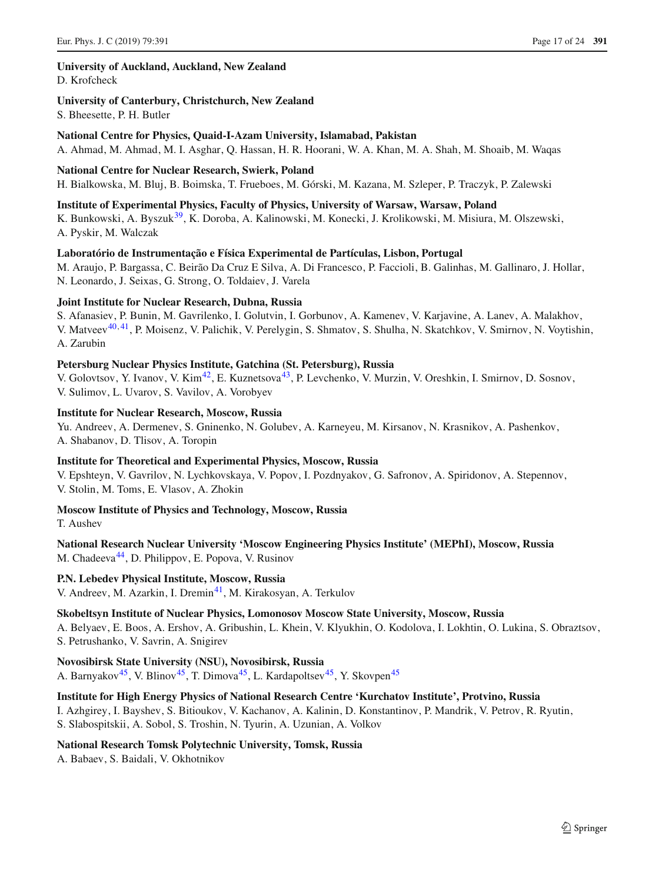## **University of Auckland, Auckland, New Zealand**

D. Krofcheck

#### **University of Canterbury, Christchurch, New Zealand**

S. Bheesette, P. H. Butler

#### **National Centre for Physics, Quaid-I-Azam University, Islamabad, Pakistan**

A. Ahmad, M. Ahmad, M. I. Asghar, Q. Hassan, H. R. Hoorani, W. A. Khan, M. A. Shah, M. Shoaib, M. Waqas

#### **National Centre for Nuclear Research, Swierk, Poland**

H. Bialkowska, M. Bluj, B. Boimska, T. Frueboes, M. Górski, M. Kazana, M. Szleper, P. Traczyk, P. Zalewski

#### **Institute of Experimental Physics, Faculty of Physics, University of Warsaw, Warsaw, Poland**

K. Bunkowski, A. Byszuk<sup>39</sup>, K. Doroba, A. Kalinowski, M. Konecki, J. Krolikowski, M. Misiura, M. Olszewski, A. Pyskir, M. Walczak

#### **Laboratório de Instrumentação e Física Experimental de Partículas, Lisbon, Portugal**

M. Araujo, P. Bargassa, C. Beirão Da Cruz E Silva, A. Di Francesco, P. Faccioli, B. Galinhas, M. Gallinaro, J. Hollar, N. Leonardo, J. Seixas, G. Strong, O. Toldaiev, J. Varela

#### **Joint Institute for Nuclear Research, Dubna, Russia**

S. Afanasiev, P. Bunin, M. Gavrilenko, I. Golutvin, I. Gorbunov, A. Kamenev, V. Karjavine, A. Lanev, A. Malakhov, V. Matveev<sup>[40](#page-22-38),41</sup>, P. Moisenz, V. Palichik, V. Perelygin, S. Shmatov, S. Shulha, N. Skatchkov, V. Smirnov, N. Voytishin, A. Zarubin

#### **Petersburg Nuclear Physics Institute, Gatchina (St. Petersburg), Russia**

V. Golovtsov, Y. Ivanov, V. Kim[42,](#page-22-40) E. Kuznetsov[a43,](#page-22-41) P. Levchenko, V. Murzin, V. Oreshkin, I. Smirnov, D. Sosnov, V. Sulimov, L. Uvarov, S. Vavilov, A. Vorobyev

#### **Institute for Nuclear Research, Moscow, Russia**

Yu. Andreev, A. Dermenev, S. Gninenko, N. Golubev, A. Karneyeu, M. Kirsanov, N. Krasnikov, A. Pashenkov, A. Shabanov, D. Tlisov, A. Toropin

#### **Institute for Theoretical and Experimental Physics, Moscow, Russia**

V. Epshteyn, V. Gavrilov, N. Lychkovskaya, V. Popov, I. Pozdnyakov, G. Safronov, A. Spiridonov, A. Stepennov, V. Stolin, M. Toms, E. Vlasov, A. Zhokin

**Moscow Institute of Physics and Technology, Moscow, Russia**

T. Aushev

**National Research Nuclear University 'Moscow Engineering Physics Institute' (MEPhI), Moscow, Russia** M. Chadeeva<sup>44</sup>, D. Philippov, E. Popova, V. Rusinov

#### **P.N. Lebedev Physical Institute, Moscow, Russia**

V. Andreev, M. Azarkin, I. Dremin<sup>41</sup>, M. Kirakosyan, A. Terkulov

#### **Skobeltsyn Institute of Nuclear Physics, Lomonosov Moscow State University, Moscow, Russia**

A. Belyaev, E. Boos, A. Ershov, A. Gribushin, L. Khein, V. Klyukhin, O. Kodolova, I. Lokhtin, O. Lukina, S. Obraztsov, S. Petrushanko, V. Savrin, A. Snigirev

**Novosibirsk State University (NSU), Novosibirsk, Russia** A. Barnyakov<sup>45</sup>, V. Blinov<sup>45</sup>, T. Dimova<sup>45</sup>, L. Kardapoltsev<sup>45</sup>, Y. Skovpen<sup>45</sup>

#### **Institute for High Energy Physics of National Research Centre 'Kurchatov Institute', Protvino, Russia** I. Azhgirey, I. Bayshev, S. Bitioukov, V. Kachanov, A. Kalinin, D. Konstantinov, P. Mandrik, V. Petrov, R. Ryutin,

S. Slabospitskii, A. Sobol, S. Troshin, N. Tyurin, A. Uzunian, A. Volkov

#### **National Research Tomsk Polytechnic University, Tomsk, Russia**

A. Babaev, S. Baidali, V. Okhotnikov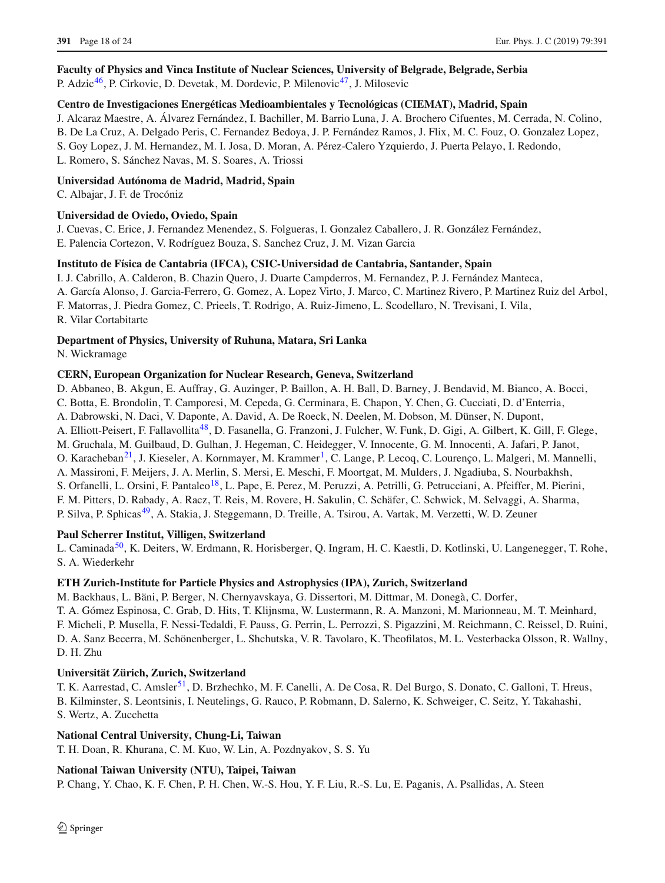## **Faculty of Physics and Vinca Institute of Nuclear Sciences, University of Belgrade, Belgrade, Serbia**

P. Adzic<sup>46</sup>, P. Cirkovic, D. Devetak, M. Dordevic, P. Milenovic<sup>47</sup>, J. Milosevic

## **Centro de Investigaciones Energéticas Medioambientales y Tecnológicas (CIEMAT), Madrid, Spain**

J. Alcaraz Maestre, A. Álvarez Fernández, I. Bachiller, M. Barrio Luna, J. A. Brochero Cifuentes, M. Cerrada, N. Colino, B. De La Cruz, A. Delgado Peris, C. Fernandez Bedoya, J. P. Fernández Ramos, J. Flix, M. C. Fouz, O. Gonzalez Lopez, S. Goy Lopez, J. M. Hernandez, M. I. Josa, D. Moran, A. Pérez-Calero Yzquierdo, J. Puerta Pelayo, I. Redondo, L. Romero, S. Sánchez Navas, M. S. Soares, A. Triossi

## **Universidad Autónoma de Madrid, Madrid, Spain**

C. Albajar, J. F. de Trocóniz

## **Universidad de Oviedo, Oviedo, Spain**

J. Cuevas, C. Erice, J. Fernandez Menendez, S. Folgueras, I. Gonzalez Caballero, J. R. González Fernández, E. Palencia Cortezon, V. Rodríguez Bouza, S. Sanchez Cruz, J. M. Vizan Garcia

## **Instituto de Física de Cantabria (IFCA), CSIC-Universidad de Cantabria, Santander, Spain**

I. J. Cabrillo, A. Calderon, B. Chazin Quero, J. Duarte Campderros, M. Fernandez, P. J. Fernández Manteca, A. García Alonso, J. Garcia-Ferrero, G. Gomez, A. Lopez Virto, J. Marco, C. Martinez Rivero, P. Martinez Ruiz del Arbol, F. Matorras, J. Piedra Gomez, C. Prieels, T. Rodrigo, A. Ruiz-Jimeno, L. Scodellaro, N. Trevisani, I. Vila, R. Vilar Cortabitarte

**Department of Physics, University of Ruhuna, Matara, Sri Lanka**

N. Wickramage

## **CERN, European Organization for Nuclear Research, Geneva, Switzerland**

D. Abbaneo, B. Akgun, E. Auffray, G. Auzinger, P. Baillon, A. H. Ball, D. Barney, J. Bendavid, M. Bianco, A. Bocci,

C. Botta, E. Brondolin, T. Camporesi, M. Cepeda, G. Cerminara, E. Chapon, Y. Chen, G. Cucciati, D. d'Enterria,

A. Dabrowski, N. Daci, V. Daponte, A. David, A. De Roeck, N. Deelen, M. Dobson, M. Dünser, N. Dupont,

A. Elliott-Peisert, F. Fallavollita<sup>48</sup>, D. Fasanella, G. Franzoni, J. Fulcher, W. Funk, D. Gigi, A. Gilbert, K. Gill, F. Glege,

M. Gruchala, M. Guilbaud, D. Gulhan, J. Hegeman, C. Heidegger, V. Innocente, G. M. Innocenti, A. Jafari, P. Janot,

O. Karacheban<sup>21</sup>, J. Kieseler, A. Kornmayer, M. Krammer<sup>1</sup>, C. Lange, P. Lecoq, C. Lourenço, L. Malgeri, M. Mannelli,

A. Massironi, F. Meijers, J. A. Merlin, S. Mersi, E. Meschi, F. Moortgat, M. Mulders, J. Ngadiuba, S. Nourbakhsh,

S. Orfanelli, L. Orsini, F. Pantaleo<sup>18</sup>, L. Pape, E. Perez, M. Peruzzi, A. Petrilli, G. Petrucciani, A. Pfeiffer, M. Pierini,

F. M. Pitters, D. Rabady, A. Racz, T. Reis, M. Rovere, H. Sakulin, C. Schäfer, C. Schwick, M. Selvaggi, A. Sharma, P. Silva, P. Sphicas<sup>49</sup>, A. Stakia, J. Steggemann, D. Treille, A. Tsirou, A. Vartak, M. Verzetti, W. D. Zeuner

# **Paul Scherrer Institut, Villigen, Switzerland**

L. Caminada<sup>50</sup>, K. Deiters, W. Erdmann, R. Horisberger, Q. Ingram, H. C. Kaestli, D. Kotlinski, U. Langenegger, T. Rohe, S. A. Wiederkehr

#### **ETH Zurich-Institute for Particle Physics and Astrophysics (IPA), Zurich, Switzerland**

M. Backhaus, L. Bäni, P. Berger, N. Chernyavskaya, G. Dissertori, M. Dittmar, M. Donegà, C. Dorfer, T. A. Gómez Espinosa, C. Grab, D. Hits, T. Klijnsma, W. Lustermann, R. A. Manzoni, M. Marionneau, M. T. Meinhard, F. Micheli, P. Musella, F. Nessi-Tedaldi, F. Pauss, G. Perrin, L. Perrozzi, S. Pigazzini, M. Reichmann, C. Reissel, D. Ruini, D. A. Sanz Becerra, M. Schönenberger, L. Shchutska, V. R. Tavolaro, K. Theofilatos, M. L. Vesterbacka Olsson, R. Wallny, D. H. Zhu

## **Universität Zürich, Zurich, Switzerland**

T. K. Aarrestad, C. Amsler<sup>51</sup>, D. Brzhechko, M. F. Canelli, A. De Cosa, R. Del Burgo, S. Donato, C. Galloni, T. Hreus, B. Kilminster, S. Leontsinis, I. Neutelings, G. Rauco, P. Robmann, D. Salerno, K. Schweiger, C. Seitz, Y. Takahashi, S. Wertz, A. Zucchetta

#### **National Central University, Chung-Li, Taiwan**

T. H. Doan, R. Khurana, C. M. Kuo, W. Lin, A. Pozdnyakov, S. S. Yu

#### **National Taiwan University (NTU), Taipei, Taiwan**

P. Chang, Y. Chao, K. F. Chen, P. H. Chen, W.-S. Hou, Y. F. Liu, R.-S. Lu, E. Paganis, A. Psallidas, A. Steen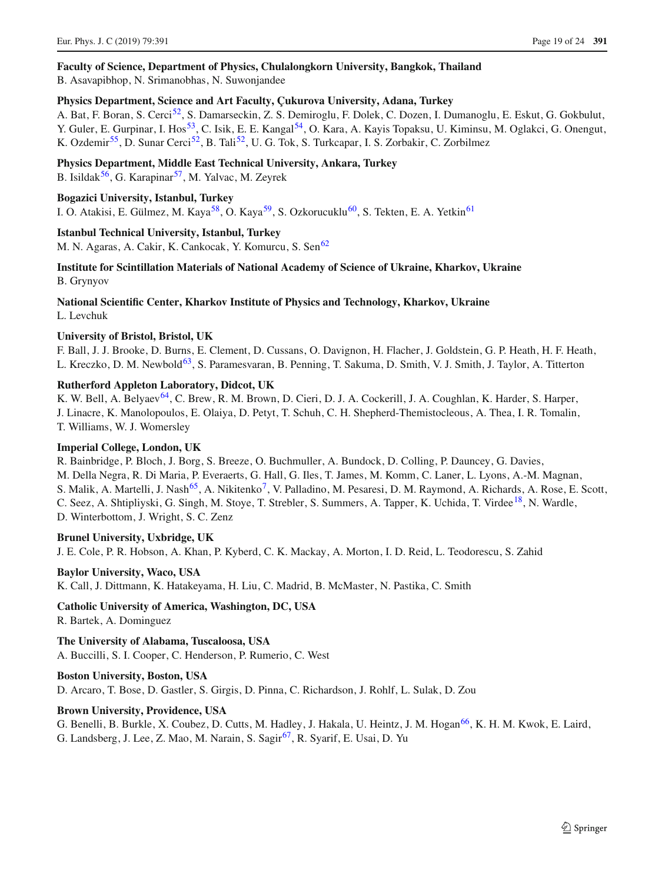## **Faculty of Science, Department of Physics, Chulalongkorn University, Bangkok, Thailand**

B. Asavapibhop, N. Srimanobhas, N. Suwonjandee

#### **Physics Department, Science and Art Faculty, Çukurova University, Adana, Turkey**

A. Bat, F. Boran, S. Cerci<sup>52</sup>, S. Damarseckin, Z. S. Demiroglu, F. Dolek, C. Dozen, I. Dumanoglu, E. Eskut, G. Gokbulut, Y. Guler, E. Gurpinar, I. Hos<sup>53</sup>, C. Isik, E. E. Kangal<sup>54</sup>, O. Kara, A. Kayis Topaksu, U. Kiminsu, M. Oglakci, G. Onengut, K. Ozdemir<sup>55</sup>, D. Sunar Cerci<sup>52</sup>, B. Tali<sup>52</sup>, U. G. Tok, S. Turkcapar, I. S. Zorbakir, C. Zorbilmez

## **Physics Department, Middle East Technical University, Ankara, Turkey**

B. Isildak<sup>56</sup>, G. Karapinar<sup>57</sup>, M. Yalvac, M. Zeyrek

## **Bogazici University, Istanbul, Turkey**

I. O. Atakisi, E. Gülmez, M. Kaya<sup>58</sup>, O. Kaya<sup>59</sup>, S. Ozkorucuklu<sup>60</sup>, S. Tekten, E. A. Yetkin<sup>61</sup>

#### **Istanbul Technical University, Istanbul, Turkey**

M. N. Agaras, A. Cakir, K. Cankocak, Y. Komurcu, S. Sen<sup>[62](#page-23-14)</sup>

## **Institute for Scintillation Materials of National Academy of Science of Ukraine, Kharkov, Ukraine** B. Grynyov

**National Scientific Center, Kharkov Institute of Physics and Technology, Kharkov, Ukraine** L. Levchuk

#### **University of Bristol, Bristol, UK**

F. Ball, J. J. Brooke, D. Burns, E. Clement, D. Cussans, O. Davignon, H. Flacher, J. Goldstein, G. P. Heath, H. F. Heath, L. Kreczko, D. M. Newbold<sup>63</sup>, S. Paramesvaran, B. Penning, T. Sakuma, D. Smith, V. J. Smith, J. Taylor, A. Titterton

## **Rutherford Appleton Laboratory, Didcot, UK**

K. W. Bell, A. Belyaev<sup>64</sup>, C. Brew, R. M. Brown, D. Cieri, D. J. A. Cockerill, J. A. Coughlan, K. Harder, S. Harper, J. Linacre, K. Manolopoulos, E. Olaiya, D. Petyt, T. Schuh, C. H. Shepherd-Themistocleous, A. Thea, I. R. Tomalin, T. Williams, W. J. Womersley

#### **Imperial College, London, UK**

R. Bainbridge, P. Bloch, J. Borg, S. Breeze, O. Buchmuller, A. Bundock, D. Colling, P. Dauncey, G. Davies, M. Della Negra, R. Di Maria, P. Everaerts, G. Hall, G. Iles, T. James, M. Komm, C. Laner, L. Lyons, A.-M. Magnan, S. Malik, A. Martelli, J. Nash<sup>65</sup>, A. Nikitenko<sup>7</sup>, V. Palladino, M. Pesaresi, D. M. Raymond, A. Richards, A. Rose, E. Scott, C. Seez, A. Shtipliyski, G. Singh, M. Stoye, T. Strebler, S. Summers, A. Tapper, K. Uchida, T. Virdee<sup>18</sup>, N. Wardle, D. Winterbottom, J. Wright, S. C. Zenz

#### **Brunel University, Uxbridge, UK**

J. E. Cole, P. R. Hobson, A. Khan, P. Kyberd, C. K. Mackay, A. Morton, I. D. Reid, L. Teodorescu, S. Zahid

#### **Baylor University, Waco, USA**

K. Call, J. Dittmann, K. Hatakeyama, H. Liu, C. Madrid, B. McMaster, N. Pastika, C. Smith

**Catholic University of America, Washington, DC, USA** R. Bartek, A. Dominguez

**The University of Alabama, Tuscaloosa, USA** A. Buccilli, S. I. Cooper, C. Henderson, P. Rumerio, C. West

#### **Boston University, Boston, USA**

D. Arcaro, T. Bose, D. Gastler, S. Girgis, D. Pinna, C. Richardson, J. Rohlf, L. Sulak, D. Zou

#### **Brown University, Providence, USA**

G. Benelli, B. Burkle, X. Coubez, D. Cutts, M. Hadley, J. Hakala, U. Heintz, J. M. Hogan<sup>66</sup>, K. H. M. Kwok, E. Laird, G. Landsberg, J. Lee, Z. Mao, M. Narain, S. Sagir<sup>67</sup>, R. Syarif, E. Usai, D. Yu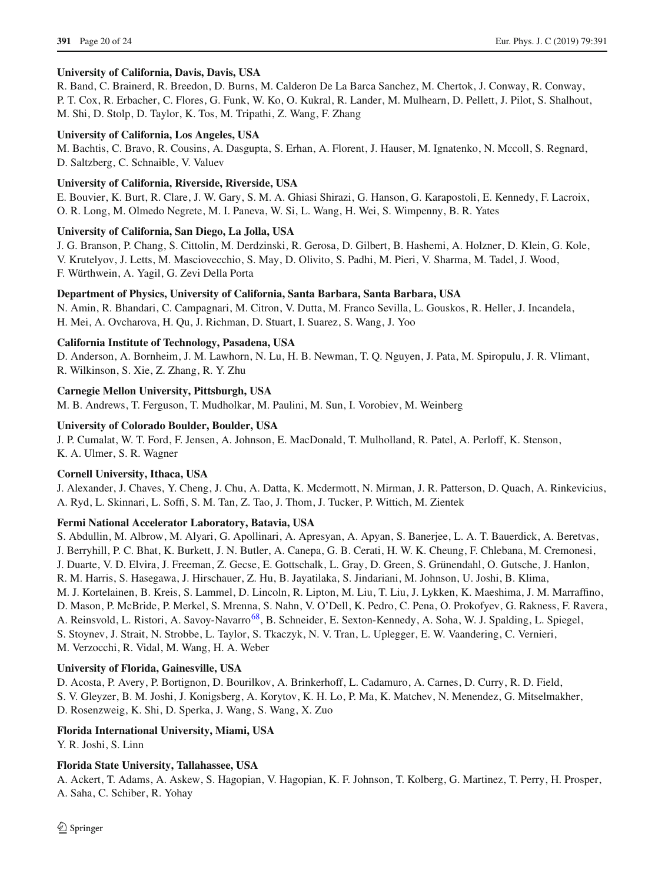## **University of California, Davis, Davis, USA**

R. Band, C. Brainerd, R. Breedon, D. Burns, M. Calderon De La Barca Sanchez, M. Chertok, J. Conway, R. Conway, P. T. Cox, R. Erbacher, C. Flores, G. Funk, W. Ko, O. Kukral, R. Lander, M. Mulhearn, D. Pellett, J. Pilot, S. Shalhout, M. Shi, D. Stolp, D. Taylor, K. Tos, M. Tripathi, Z. Wang, F. Zhang

## **University of California, Los Angeles, USA**

M. Bachtis, C. Bravo, R. Cousins, A. Dasgupta, S. Erhan, A. Florent, J. Hauser, M. Ignatenko, N. Mccoll, S. Regnard, D. Saltzberg, C. Schnaible, V. Valuev

## **University of California, Riverside, Riverside, USA**

E. Bouvier, K. Burt, R. Clare, J. W. Gary, S. M. A. Ghiasi Shirazi, G. Hanson, G. Karapostoli, E. Kennedy, F. Lacroix, O. R. Long, M. Olmedo Negrete, M. I. Paneva, W. Si, L. Wang, H. Wei, S. Wimpenny, B. R. Yates

## **University of California, San Diego, La Jolla, USA**

J. G. Branson, P. Chang, S. Cittolin, M. Derdzinski, R. Gerosa, D. Gilbert, B. Hashemi, A. Holzner, D. Klein, G. Kole, V. Krutelyov, J. Letts, M. Masciovecchio, S. May, D. Olivito, S. Padhi, M. Pieri, V. Sharma, M. Tadel, J. Wood, F. Würthwein, A. Yagil, G. Zevi Della Porta

## **Department of Physics, University of California, Santa Barbara, Santa Barbara, USA**

N. Amin, R. Bhandari, C. Campagnari, M. Citron, V. Dutta, M. Franco Sevilla, L. Gouskos, R. Heller, J. Incandela, H. Mei, A. Ovcharova, H. Qu, J. Richman, D. Stuart, I. Suarez, S. Wang, J. Yoo

#### **California Institute of Technology, Pasadena, USA**

D. Anderson, A. Bornheim, J. M. Lawhorn, N. Lu, H. B. Newman, T. Q. Nguyen, J. Pata, M. Spiropulu, J. R. Vlimant, R. Wilkinson, S. Xie, Z. Zhang, R. Y. Zhu

## **Carnegie Mellon University, Pittsburgh, USA**

M. B. Andrews, T. Ferguson, T. Mudholkar, M. Paulini, M. Sun, I. Vorobiev, M. Weinberg

## **University of Colorado Boulder, Boulder, USA**

J. P. Cumalat, W. T. Ford, F. Jensen, A. Johnson, E. MacDonald, T. Mulholland, R. Patel, A. Perloff, K. Stenson, K. A. Ulmer, S. R. Wagner

## **Cornell University, Ithaca, USA**

J. Alexander, J. Chaves, Y. Cheng, J. Chu, A. Datta, K. Mcdermott, N. Mirman, J. R. Patterson, D. Quach, A. Rinkevicius, A. Ryd, L. Skinnari, L. Soffi, S. M. Tan, Z. Tao, J. Thom, J. Tucker, P. Wittich, M. Zientek

## **Fermi National Accelerator Laboratory, Batavia, USA**

S. Abdullin, M. Albrow, M. Alyari, G. Apollinari, A. Apresyan, A. Apyan, S. Banerjee, L. A. T. Bauerdick, A. Beretvas, J. Berryhill, P. C. Bhat, K. Burkett, J. N. Butler, A. Canepa, G. B. Cerati, H. W. K. Cheung, F. Chlebana, M. Cremonesi, J. Duarte, V. D. Elvira, J. Freeman, Z. Gecse, E. Gottschalk, L. Gray, D. Green, S. Grünendahl, O. Gutsche, J. Hanlon, R. M. Harris, S. Hasegawa, J. Hirschauer, Z. Hu, B. Jayatilaka, S. Jindariani, M. Johnson, U. Joshi, B. Klima, M. J. Kortelainen, B. Kreis, S. Lammel, D. Lincoln, R. Lipton, M. Liu, T. Liu, J. Lykken, K. Maeshima, J. M. Marraffino, D. Mason, P. McBride, P. Merkel, S. Mrenna, S. Nahn, V. O'Dell, K. Pedro, C. Pena, O. Prokofyev, G. Rakness, F. Ravera, A. Reinsvold, L. Ristori, A. Savoy-Navarro<sup>68</sup>, B. Schneider, E. Sexton-Kennedy, A. Soha, W. J. Spalding, L. Spiegel, S. Stoynev, J. Strait, N. Strobbe, L. Taylor, S. Tkaczyk, N. V. Tran, L. Uplegger, E. W. Vaandering, C. Vernieri, M. Verzocchi, R. Vidal, M. Wang, H. A. Weber

#### **University of Florida, Gainesville, USA**

D. Acosta, P. Avery, P. Bortignon, D. Bourilkov, A. Brinkerhoff, L. Cadamuro, A. Carnes, D. Curry, R. D. Field, S. V. Gleyzer, B. M. Joshi, J. Konigsberg, A. Korytov, K. H. Lo, P. Ma, K. Matchev, N. Menendez, G. Mitselmakher, D. Rosenzweig, K. Shi, D. Sperka, J. Wang, S. Wang, X. Zuo

#### **Florida International University, Miami, USA**

Y. R. Joshi, S. Linn

## **Florida State University, Tallahassee, USA**

A. Ackert, T. Adams, A. Askew, S. Hagopian, V. Hagopian, K. F. Johnson, T. Kolberg, G. Martinez, T. Perry, H. Prosper, A. Saha, C. Schiber, R. Yohay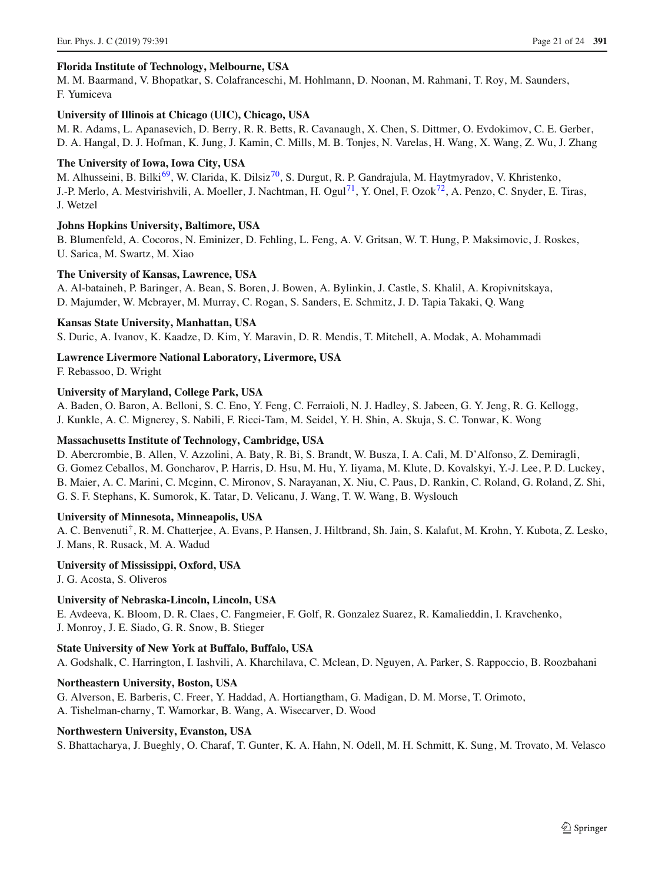#### **Florida Institute of Technology, Melbourne, USA**

M. M. Baarmand, V. Bhopatkar, S. Colafranceschi, M. Hohlmann, D. Noonan, M. Rahmani, T. Roy, M. Saunders, F. Yumiceva

#### **University of Illinois at Chicago (UIC), Chicago, USA**

M. R. Adams, L. Apanasevich, D. Berry, R. R. Betts, R. Cavanaugh, X. Chen, S. Dittmer, O. Evdokimov, C. E. Gerber, D. A. Hangal, D. J. Hofman, K. Jung, J. Kamin, C. Mills, M. B. Tonjes, N. Varelas, H. Wang, X. Wang, Z. Wu, J. Zhang

#### **The University of Iowa, Iowa City, USA**

M. Alhusseini, B. Bilki<sup>69</sup>, W. Clarida, K. Dilsiz<sup>70</sup>, S. Durgut, R. P. Gandrajula, M. Haytmyradov, V. Khristenko, J.-P. Merlo, A. Mestvirishvili, A. Moeller, J. Nachtman, H. Ogul<sup>71</sup>, Y. Onel, F. Ozok<sup>72</sup>, A. Penzo, C. Snyder, E. Tiras, J. Wetzel

#### **Johns Hopkins University, Baltimore, USA**

B. Blumenfeld, A. Cocoros, N. Eminizer, D. Fehling, L. Feng, A. V. Gritsan, W. T. Hung, P. Maksimovic, J. Roskes, U. Sarica, M. Swartz, M. Xiao

#### **The University of Kansas, Lawrence, USA**

A. Al-bataineh, P. Baringer, A. Bean, S. Boren, J. Bowen, A. Bylinkin, J. Castle, S. Khalil, A. Kropivnitskaya, D. Majumder, W. Mcbrayer, M. Murray, C. Rogan, S. Sanders, E. Schmitz, J. D. Tapia Takaki, Q. Wang

#### **Kansas State University, Manhattan, USA**

S. Duric, A. Ivanov, K. Kaadze, D. Kim, Y. Maravin, D. R. Mendis, T. Mitchell, A. Modak, A. Mohammadi

**Lawrence Livermore National Laboratory, Livermore, USA**

F. Rebassoo, D. Wright

#### **University of Maryland, College Park, USA**

A. Baden, O. Baron, A. Belloni, S. C. Eno, Y. Feng, C. Ferraioli, N. J. Hadley, S. Jabeen, G. Y. Jeng, R. G. Kellogg, J. Kunkle, A. C. Mignerey, S. Nabili, F. Ricci-Tam, M. Seidel, Y. H. Shin, A. Skuja, S. C. Tonwar, K. Wong

#### **Massachusetts Institute of Technology, Cambridge, USA**

D. Abercrombie, B. Allen, V. Azzolini, A. Baty, R. Bi, S. Brandt, W. Busza, I. A. Cali, M. D'Alfonso, Z. Demiragli, G. Gomez Ceballos, M. Goncharov, P. Harris, D. Hsu, M. Hu, Y. Iiyama, M. Klute, D. Kovalskyi, Y.-J. Lee, P. D. Luckey, B. Maier, A. C. Marini, C. Mcginn, C. Mironov, S. Narayanan, X. Niu, C. Paus, D. Rankin, C. Roland, G. Roland, Z. Shi, G. S. F. Stephans, K. Sumorok, K. Tatar, D. Velicanu, J. Wang, T. W. Wang, B. Wyslouch

#### **University of Minnesota, Minneapolis, USA**

A. C. Benvenuti†, R. M. Chatterjee, A. Evans, P. Hansen, J. Hiltbrand, Sh. Jain, S. Kalafut, M. Krohn, Y. Kubota, Z. Lesko, J. Mans, R. Rusack, M. A. Wadud

#### **University of Mississippi, Oxford, USA**

J. G. Acosta, S. Oliveros

#### **University of Nebraska-Lincoln, Lincoln, USA**

E. Avdeeva, K. Bloom, D. R. Claes, C. Fangmeier, F. Golf, R. Gonzalez Suarez, R. Kamalieddin, I. Kravchenko, J. Monroy, J. E. Siado, G. R. Snow, B. Stieger

#### **State University of New York at Buffalo, Buffalo, USA**

A. Godshalk, C. Harrington, I. Iashvili, A. Kharchilava, C. Mclean, D. Nguyen, A. Parker, S. Rappoccio, B. Roozbahani

#### **Northeastern University, Boston, USA**

G. Alverson, E. Barberis, C. Freer, Y. Haddad, A. Hortiangtham, G. Madigan, D. M. Morse, T. Orimoto,

A. Tishelman-charny, T. Wamorkar, B. Wang, A. Wisecarver, D. Wood

#### **Northwestern University, Evanston, USA**

S. Bhattacharya, J. Bueghly, O. Charaf, T. Gunter, K. A. Hahn, N. Odell, M. H. Schmitt, K. Sung, M. Trovato, M. Velasco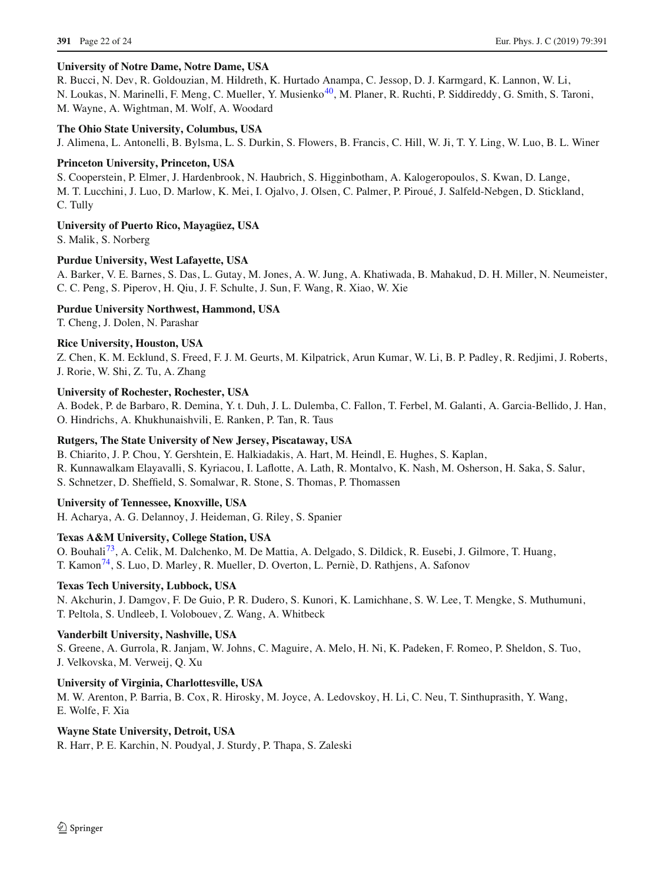#### **University of Notre Dame, Notre Dame, USA**

R. Bucci, N. Dev, R. Goldouzian, M. Hildreth, K. Hurtado Anampa, C. Jessop, D. J. Karmgard, K. Lannon, W. Li, N. Loukas, N. Marinelli, F. Meng, C. Mueller, Y. Musienko<sup>40</sup>, M. Planer, R. Ruchti, P. Siddireddy, G. Smith, S. Taroni, M. Wayne, A. Wightman, M. Wolf, A. Woodard

#### **The Ohio State University, Columbus, USA**

J. Alimena, L. Antonelli, B. Bylsma, L. S. Durkin, S. Flowers, B. Francis, C. Hill, W. Ji, T. Y. Ling, W. Luo, B. L. Winer

#### **Princeton University, Princeton, USA**

S. Cooperstein, P. Elmer, J. Hardenbrook, N. Haubrich, S. Higginbotham, A. Kalogeropoulos, S. Kwan, D. Lange, M. T. Lucchini, J. Luo, D. Marlow, K. Mei, I. Ojalvo, J. Olsen, C. Palmer, P. Piroué, J. Salfeld-Nebgen, D. Stickland, C. Tully

**University of Puerto Rico, Mayagüez, USA**

S. Malik, S. Norberg

#### **Purdue University, West Lafayette, USA**

A. Barker, V. E. Barnes, S. Das, L. Gutay, M. Jones, A. W. Jung, A. Khatiwada, B. Mahakud, D. H. Miller, N. Neumeister, C. C. Peng, S. Piperov, H. Qiu, J. F. Schulte, J. Sun, F. Wang, R. Xiao, W. Xie

#### **Purdue University Northwest, Hammond, USA**

T. Cheng, J. Dolen, N. Parashar

#### **Rice University, Houston, USA**

Z. Chen, K. M. Ecklund, S. Freed, F. J. M. Geurts, M. Kilpatrick, Arun Kumar, W. Li, B. P. Padley, R. Redjimi, J. Roberts, J. Rorie, W. Shi, Z. Tu, A. Zhang

#### **University of Rochester, Rochester, USA**

A. Bodek, P. de Barbaro, R. Demina, Y. t. Duh, J. L. Dulemba, C. Fallon, T. Ferbel, M. Galanti, A. Garcia-Bellido, J. Han, O. Hindrichs, A. Khukhunaishvili, E. Ranken, P. Tan, R. Taus

#### **Rutgers, The State University of New Jersey, Piscataway, USA**

B. Chiarito, J. P. Chou, Y. Gershtein, E. Halkiadakis, A. Hart, M. Heindl, E. Hughes, S. Kaplan,

R. Kunnawalkam Elayavalli, S. Kyriacou, I. Laflotte, A. Lath, R. Montalvo, K. Nash, M. Osherson, H. Saka, S. Salur,

S. Schnetzer, D. Sheffield, S. Somalwar, R. Stone, S. Thomas, P. Thomassen

#### **University of Tennessee, Knoxville, USA**

H. Acharya, A. G. Delannoy, J. Heideman, G. Riley, S. Spanier

#### **Texas A&M University, College Station, USA**

O. Bouhali[73,](#page-23-25) A. Celik, M. Dalchenko, M. De Mattia, A. Delgado, S. Dildick, R. Eusebi, J. Gilmore, T. Huang, T. Kamon<sup>74</sup>, S. Luo, D. Marley, R. Mueller, D. Overton, L. Perniè, D. Rathjens, A. Safonov

#### **Texas Tech University, Lubbock, USA**

N. Akchurin, J. Damgov, F. De Guio, P. R. Dudero, S. Kunori, K. Lamichhane, S. W. Lee, T. Mengke, S. Muthumuni, T. Peltola, S. Undleeb, I. Volobouev, Z. Wang, A. Whitbeck

#### **Vanderbilt University, Nashville, USA**

S. Greene, A. Gurrola, R. Janjam, W. Johns, C. Maguire, A. Melo, H. Ni, K. Padeken, F. Romeo, P. Sheldon, S. Tuo, J. Velkovska, M. Verweij, Q. Xu

#### **University of Virginia, Charlottesville, USA**

M. W. Arenton, P. Barria, B. Cox, R. Hirosky, M. Joyce, A. Ledovskoy, H. Li, C. Neu, T. Sinthuprasith, Y. Wang, E. Wolfe, F. Xia

#### **Wayne State University, Detroit, USA**

R. Harr, P. E. Karchin, N. Poudyal, J. Sturdy, P. Thapa, S. Zaleski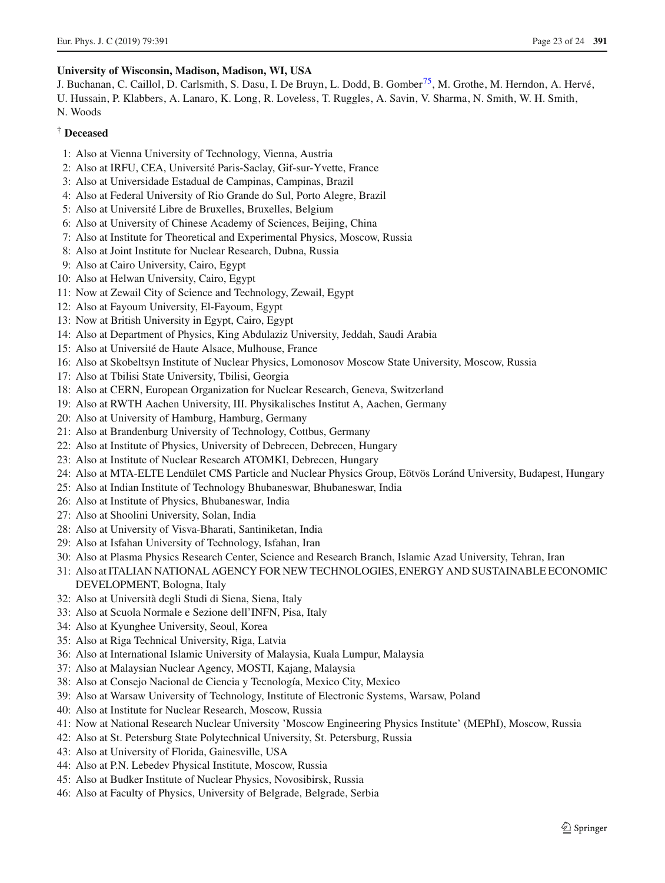## **University of Wisconsin, Madison, Madison, WI, USA**

J. Buchanan, C. Caillol, D. Carlsmith, S. Dasu, I. De Bruyn, L. Dodd, B. Gomber[75,](#page-23-27) M. Grothe, M. Herndon, A. Hervé, U. Hussain, P. Klabbers, A. Lanaro, K. Long, R. Loveless, T. Ruggles, A. Savin, V. Sharma, N. Smith, W. H. Smith, N. Woods

#### <span id="page-22-0"></span>† **Deceased**

- <span id="page-22-2"></span><span id="page-22-1"></span>1: Also at Vienna University of Technology, Vienna, Austria
- <span id="page-22-3"></span>2: Also at IRFU, CEA, Université Paris-Saclay, Gif-sur-Yvette, France
- <span id="page-22-4"></span>3: Also at Universidade Estadual de Campinas, Campinas, Brazil
- <span id="page-22-5"></span>4: Also at Federal University of Rio Grande do Sul, Porto Alegre, Brazil
- <span id="page-22-7"></span><span id="page-22-6"></span>5: Also at Université Libre de Bruxelles, Bruxelles, Belgium
- 6: Also at University of Chinese Academy of Sciences, Beijing, China
- <span id="page-22-9"></span><span id="page-22-8"></span>7: Also at Institute for Theoretical and Experimental Physics, Moscow, Russia
- 8: Also at Joint Institute for Nuclear Research, Dubna, Russia
- <span id="page-22-13"></span><span id="page-22-12"></span><span id="page-22-11"></span><span id="page-22-10"></span>9: Also at Cairo University, Cairo, Egypt
- 10: Also at Helwan University, Cairo, Egypt
- 11: Now at Zewail City of Science and Technology, Zewail, Egypt
- 12: Also at Fayoum University, El-Fayoum, Egypt
- <span id="page-22-14"></span>13: Now at British University in Egypt, Cairo, Egypt
- <span id="page-22-15"></span>14: Also at Department of Physics, King Abdulaziz University, Jeddah, Saudi Arabia
- <span id="page-22-17"></span><span id="page-22-16"></span>15: Also at Université de Haute Alsace, Mulhouse, France
- 16: Also at Skobeltsyn Institute of Nuclear Physics, Lomonosov Moscow State University, Moscow, Russia
- <span id="page-22-18"></span>17: Also at Tbilisi State University, Tbilisi, Georgia
- <span id="page-22-19"></span>18: Also at CERN, European Organization for Nuclear Research, Geneva, Switzerland
- <span id="page-22-22"></span><span id="page-22-21"></span><span id="page-22-20"></span>19: Also at RWTH Aachen University, III. Physikalisches Institut A, Aachen, Germany
- 20: Also at University of Hamburg, Hamburg, Germany
- 21: Also at Brandenburg University of Technology, Cottbus, Germany
- 22: Also at Institute of Physics, University of Debrecen, Debrecen, Hungary
- <span id="page-22-23"></span>23: Also at Institute of Nuclear Research ATOMKI, Debrecen, Hungary
- <span id="page-22-24"></span>24: Also at MTA-ELTE Lendület CMS Particle and Nuclear Physics Group, Eötvös Loránd University, Budapest, Hungary
- <span id="page-22-25"></span>25: Also at Indian Institute of Technology Bhubaneswar, Bhubaneswar, India
- <span id="page-22-26"></span>26: Also at Institute of Physics, Bhubaneswar, India
- <span id="page-22-27"></span>27: Also at Shoolini University, Solan, India
- <span id="page-22-28"></span>28: Also at University of Visva-Bharati, Santiniketan, India
- 29: Also at Isfahan University of Technology, Isfahan, Iran
- <span id="page-22-30"></span><span id="page-22-29"></span>30: Also at Plasma Physics Research Center, Science and Research Branch, Islamic Azad University, Tehran, Iran
- 31: Also at ITALIAN NATIONAL AGENCY FOR NEW TECHNOLOGIES, ENERGY AND SUSTAINABLE ECONOMIC DEVELOPMENT, Bologna, Italy
- <span id="page-22-31"></span>32: Also at Università degli Studi di Siena, Siena, Italy
- <span id="page-22-33"></span><span id="page-22-32"></span>33: Also at Scuola Normale e Sezione dell'INFN, Pisa, Italy
- <span id="page-22-34"></span>34: Also at Kyunghee University, Seoul, Korea
- <span id="page-22-36"></span><span id="page-22-35"></span>35: Also at Riga Technical University, Riga, Latvia
- 36: Also at International Islamic University of Malaysia, Kuala Lumpur, Malaysia
- 37: Also at Malaysian Nuclear Agency, MOSTI, Kajang, Malaysia
- <span id="page-22-40"></span><span id="page-22-39"></span><span id="page-22-38"></span><span id="page-22-37"></span>38: Also at Consejo Nacional de Ciencia y Tecnología, Mexico City, Mexico
- 39: Also at Warsaw University of Technology, Institute of Electronic Systems, Warsaw, Poland
- 40: Also at Institute for Nuclear Research, Moscow, Russia
- <span id="page-22-41"></span>41: Now at National Research Nuclear University 'Moscow Engineering Physics Institute' (MEPhI), Moscow, Russia
- <span id="page-22-42"></span>42: Also at St. Petersburg State Polytechnical University, St. Petersburg, Russia
- <span id="page-22-43"></span>43: Also at University of Florida, Gainesville, USA
- <span id="page-22-44"></span>44: Also at P.N. Lebedev Physical Institute, Moscow, Russia
- <span id="page-22-45"></span>45: Also at Budker Institute of Nuclear Physics, Novosibirsk, Russia
- 46: Also at Faculty of Physics, University of Belgrade, Belgrade, Serbia